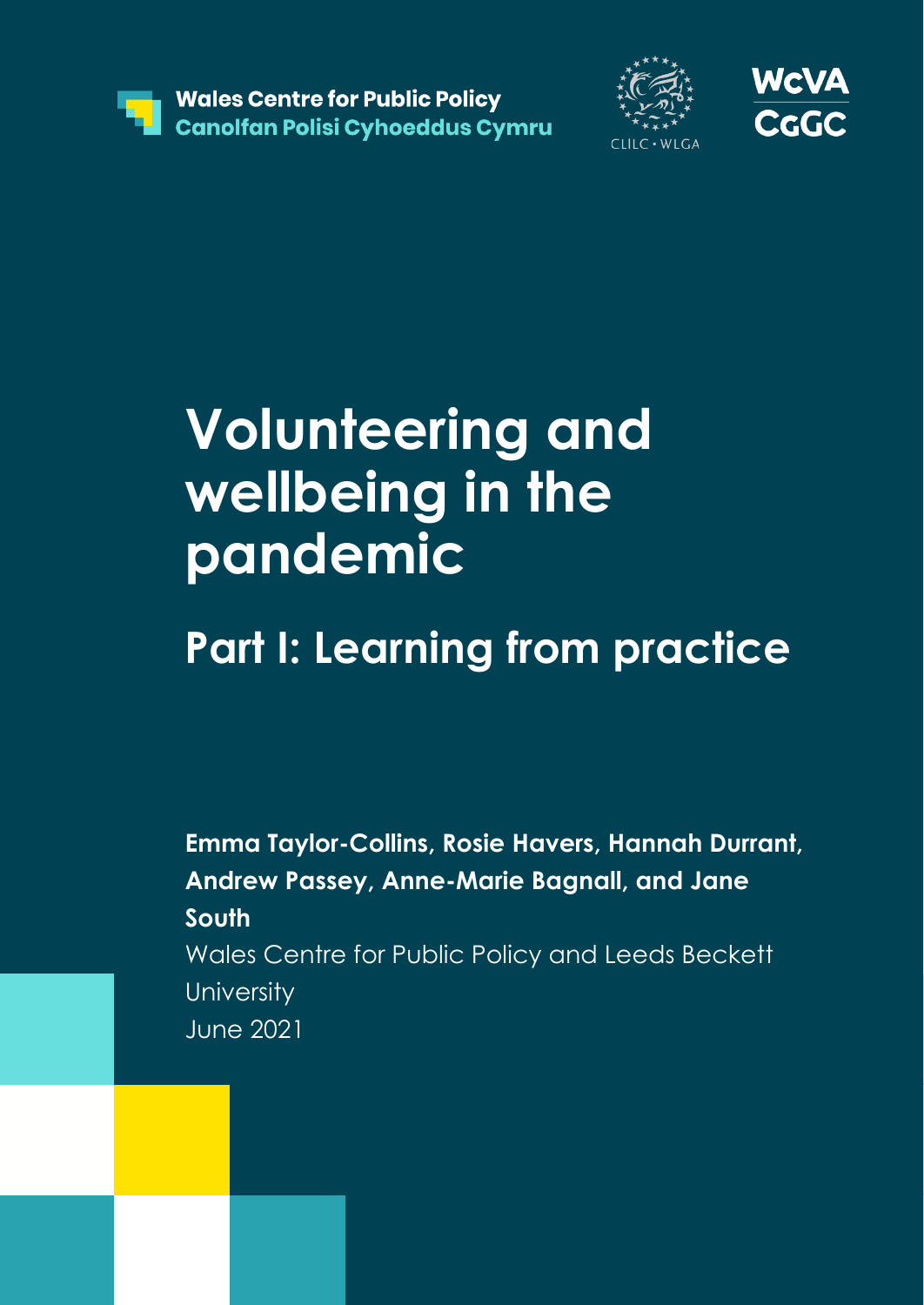





# **Volunteering and wellbeing in the pandemic**

# **Part I: Learning from practice**

**Emma Taylor-Collins, Rosie Havers, Hannah Durrant, Andrew Passey, Anne-Marie Bagnall, and Jane South** Wales Centre for Public Policy and Leeds Beckett **University** June 2021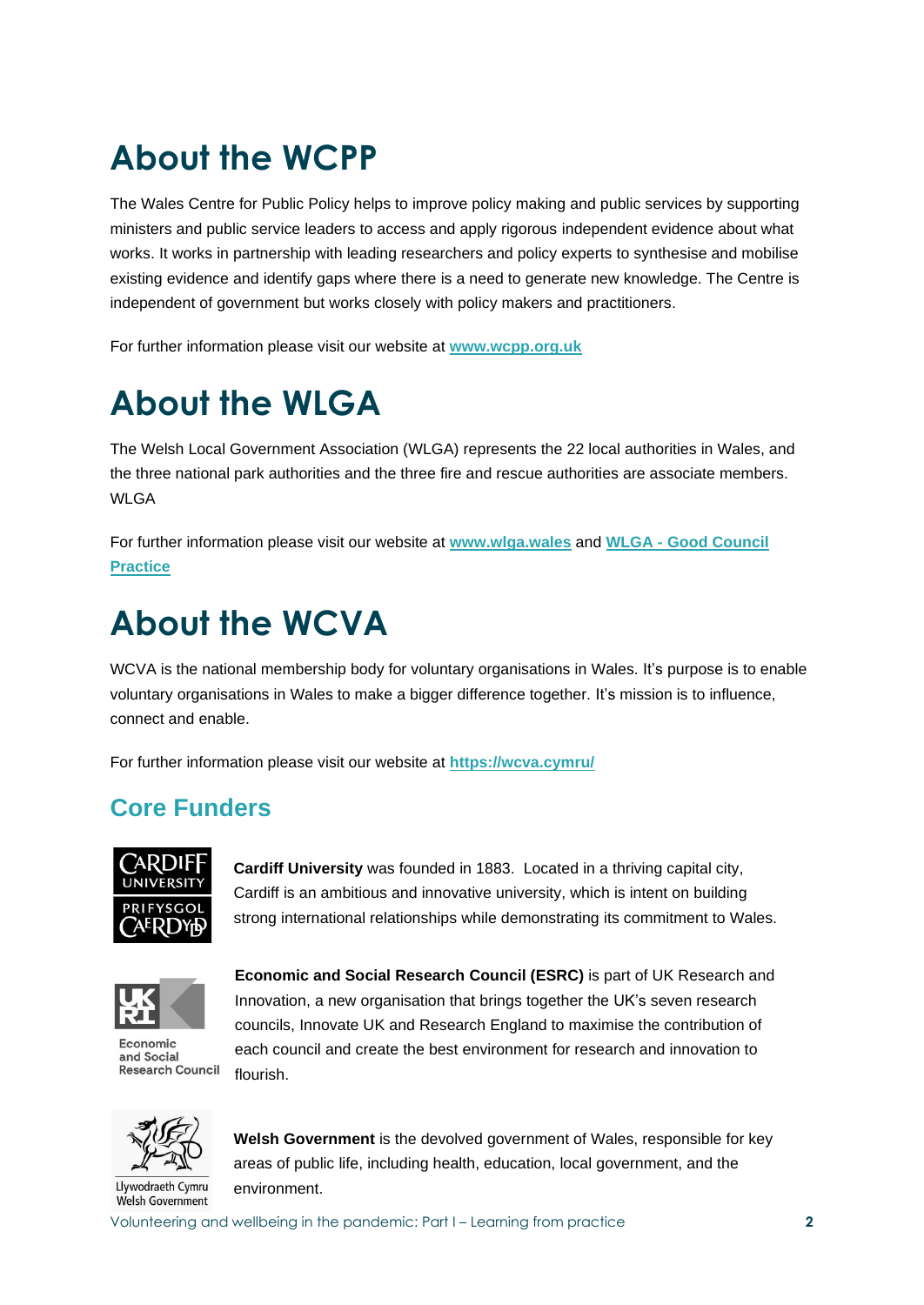## **About the WCPP**

The Wales Centre for Public Policy helps to improve policy making and public services by supporting ministers and public service leaders to access and apply rigorous independent evidence about what works. It works in partnership with leading researchers and policy experts to synthesise and mobilise existing evidence and identify gaps where there is a need to generate new knowledge. The Centre is independent of government but works closely with policy makers and practitioners.

For further information please visit our website at **[www.wcpp.org.uk](http://www.wcpp.org.uk/)**

## **About the WLGA**

The Welsh Local Government Association (WLGA) represents the 22 local authorities in Wales, and the three national park authorities and the three fire and rescue authorities are associate members. WI GA

For further information please visit our website at **[www.wlga.wales](http://www.wlga.wales/)** and **WLGA - [Good Council](https://eur03.safelinks.protection.outlook.com/?url=https%3A%2F%2Fwww.wlga.wales%2Fgood-council-practice-covid-19&data=04%7C01%7CEmma.Taylor-Collins%40wcpp.org.uk%7C40073903809e4a548f4b08d91605413b%7Cbdb74b3095684856bdbf06759778fcbc%7C1%7C0%7C637565035173745912%7CUnknown%7CTWFpbGZsb3d8eyJWIjoiMC4wLjAwMDAiLCJQIjoiV2luMzIiLCJBTiI6Ik1haWwiLCJXVCI6Mn0%3D%7C1000&sdata=2F44IDkKCO%2Buo09XCAGn6415xbZ%2F9UIbemxSQPu0RAs%3D&reserved=0)  [Practice](https://eur03.safelinks.protection.outlook.com/?url=https%3A%2F%2Fwww.wlga.wales%2Fgood-council-practice-covid-19&data=04%7C01%7CEmma.Taylor-Collins%40wcpp.org.uk%7C40073903809e4a548f4b08d91605413b%7Cbdb74b3095684856bdbf06759778fcbc%7C1%7C0%7C637565035173745912%7CUnknown%7CTWFpbGZsb3d8eyJWIjoiMC4wLjAwMDAiLCJQIjoiV2luMzIiLCJBTiI6Ik1haWwiLCJXVCI6Mn0%3D%7C1000&sdata=2F44IDkKCO%2Buo09XCAGn6415xbZ%2F9UIbemxSQPu0RAs%3D&reserved=0)**

## **About the WCVA**

WCVA is the national membership body for voluntary organisations in Wales. It's purpose is to enable voluntary organisations in Wales to make a bigger difference together. It's mission is to influence, connect and enable.

For further information please visit our website at **<https://wcva.cymru/>**

### **Core Funders**



**Cardiff University** was founded in 1883. Located in a thriving capital city, Cardiff is an ambitious and innovative university, which is intent on building strong international relationships while demonstrating its commitment to Wales.



Economic and Social **Research Council** 

**Economic and Social Research Council (ESRC)** is part of UK Research and Innovation, a new organisation that brings together the UK's seven research councils, Innovate UK and Research England to maximise the contribution of each council and create the best environment for research and innovation to flourish.



Welsh Government

**Welsh Government** is the devolved government of Wales, responsible for key areas of public life, including health, education, local government, and the environment.

Volunteering and wellbeing in the pandemic: Part I – Learning from practice **2**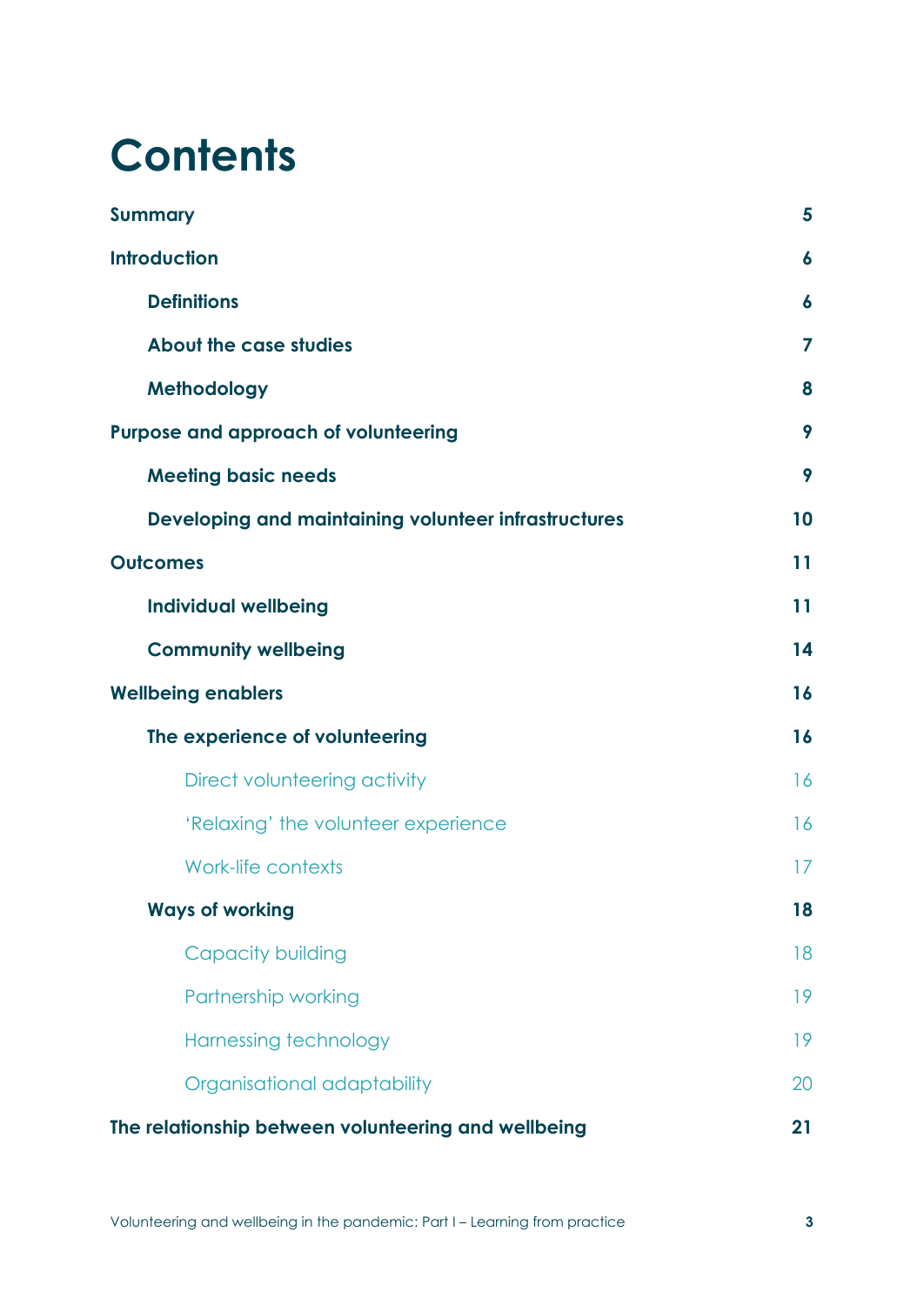# **Contents**

| <b>Summary</b>                                       | 5                |
|------------------------------------------------------|------------------|
| <b>Introduction</b>                                  | $\boldsymbol{6}$ |
| <b>Definitions</b>                                   | 6                |
| About the case studies                               | 7                |
| Methodology                                          | 8                |
| <b>Purpose and approach of volunteering</b>          | 9                |
| <b>Meeting basic needs</b>                           | 9                |
| Developing and maintaining volunteer infrastructures | 10               |
| <b>Outcomes</b>                                      | 11               |
| <b>Individual wellbeing</b>                          | 11               |
| <b>Community wellbeing</b>                           | 14               |
| <b>Wellbeing enablers</b>                            | 16               |
| The experience of volunteering                       | 16               |
| Direct volunteering activity                         | 16               |
| 'Relaxing' the volunteer experience                  | 16               |
| <b>Work-life contexts</b>                            | 17               |
| <b>Ways of working</b>                               | 18               |
| <b>Capacity building</b>                             | 18               |
| Partnership working                                  | 19               |
| Harnessing technology                                | 19               |
| Organisational adaptability                          | 20               |
| The relationship between volunteering and wellbeing  | 21               |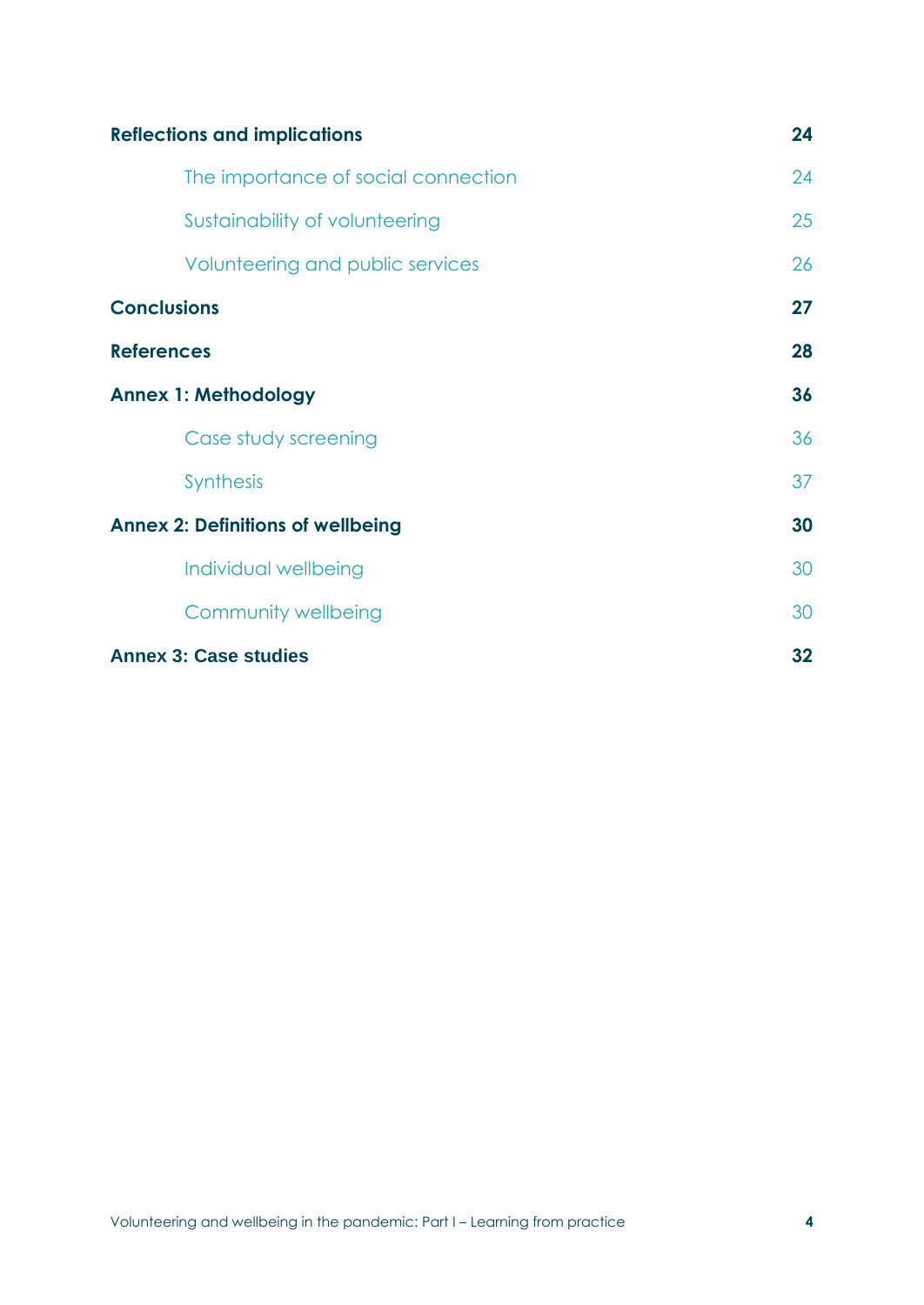| <b>Reflections and implications</b>      | 24 |
|------------------------------------------|----|
| The importance of social connection      | 24 |
| Sustainability of volunteering           | 25 |
| Volunteering and public services         | 26 |
| <b>Conclusions</b>                       | 27 |
| <b>References</b>                        | 28 |
| <b>Annex 1: Methodology</b>              | 36 |
| Case study screening                     | 36 |
| <b>Synthesis</b>                         | 37 |
| <b>Annex 2: Definitions of wellbeing</b> | 30 |
| Individual wellbeing                     | 30 |
| Community wellbeing                      | 30 |
| <b>Annex 3: Case studies</b>             | 32 |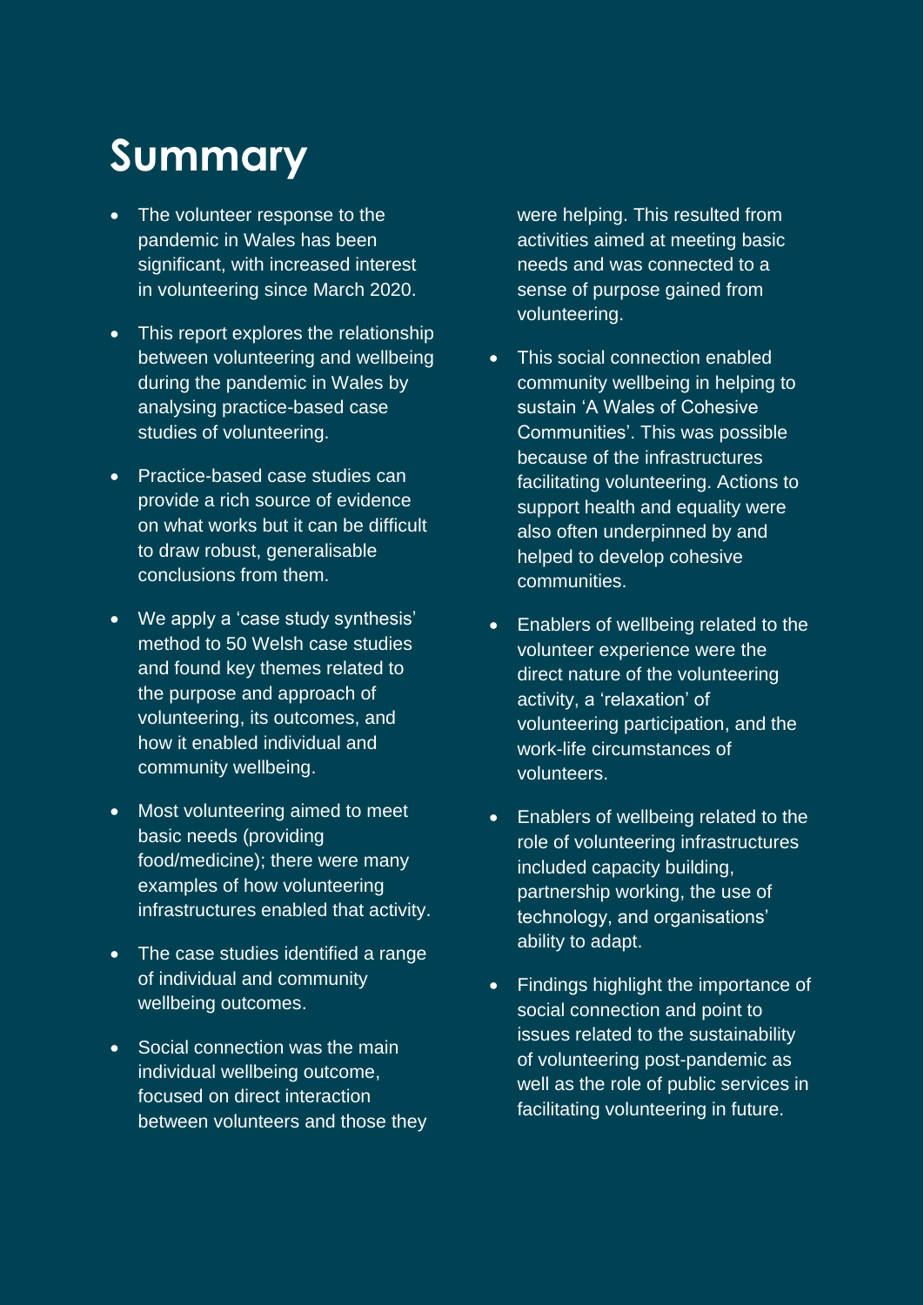# **Summary**

- The volunteer response to the pandemic in Wales has been significant, with increased interest in volunteering since March 2020.
- This report explores the relationship between volunteering and wellbeing during the pandemic in Wales by analysing practice-based case studies of volunteering.
- Practice-based case studies can provide a rich source of evidence on what works but it can be difficult to draw robust, generalisable conclusions from them.
- We apply a 'case study synthesis' method to 50 Welsh case studies and found key themes related to the purpose and approach of volunteering, its outcomes, and how it enabled individual and community wellbeing.
- Most volunteering aimed to meet basic needs (providing food/medicine); there were many examples of how volunteering infrastructures enabled that activity.
- The case studies identified a range of individual and community wellbeing outcomes.
- Social connection was the main individual wellbeing outcome, focused on direct interaction between volunteers and those they

were helping. This resulted from activities aimed at meeting basic needs and was connected to a sense of purpose gained from volunteering.

- This social connection enabled community wellbeing in helping to sustain 'A Wales of Cohesive Communities'. This was possible because of the infrastructures facilitating volunteering. Actions to support health and equality were also often underpinned by and helped to develop cohesive communities.
- Enablers of wellbeing related to the volunteer experience were the direct nature of the volunteering activity, a 'relaxation' of volunteering participation, and the work-life circumstances of volunteers.
- Enablers of wellbeing related to the role of volunteering infrastructures included capacity building, partnership working, the use of technology, and organisations' ability to adapt.
- Findings highlight the importance of social connection and point to issues related to the sustainability of volunteering post-pandemic as well as the role of public services in facilitating volunteering in future.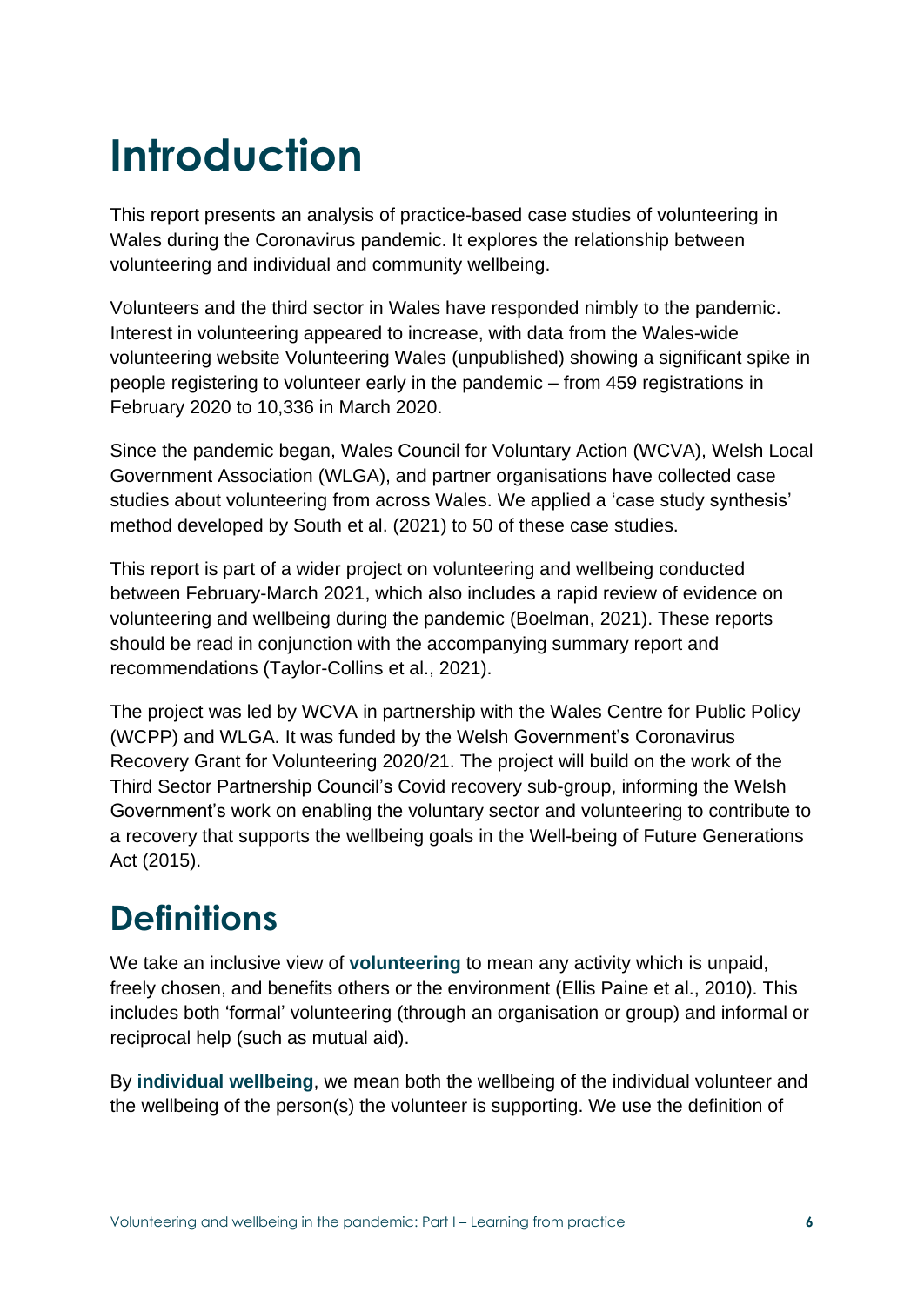# **Introduction**

This report presents an analysis of practice-based case studies of volunteering in Wales during the Coronavirus pandemic. It explores the relationship between volunteering and individual and community wellbeing.

Volunteers and the third sector in Wales have responded nimbly to the pandemic. Interest in volunteering appeared to increase, with data from the Wales-wide volunteering website Volunteering Wales (unpublished) showing a significant spike in people registering to volunteer early in the pandemic – from 459 registrations in February 2020 to 10,336 in March 2020.

Since the pandemic began, Wales Council for Voluntary Action (WCVA), Welsh Local Government Association (WLGA), and partner organisations have collected case studies about volunteering from across Wales. We applied a 'case study synthesis' method developed by South et al. (2021) to 50 of these case studies.

This report is part of a wider project on volunteering and wellbeing conducted between February-March 2021, which also includes a rapid review of evidence on volunteering and wellbeing during the pandemic (Boelman, 2021). These reports should be read in conjunction with the accompanying summary report and recommendations (Taylor-Collins et al., 2021).

The project was led by WCVA in partnership with the Wales Centre for Public Policy (WCPP) and WLGA. It was funded by the Welsh Government's Coronavirus Recovery Grant for Volunteering 2020/21. The project will build on the work of the Third Sector Partnership Council's Covid recovery sub-group, informing the Welsh Government's work on enabling the voluntary sector and volunteering to contribute to a recovery that supports the wellbeing goals in the Well-being of Future Generations Act (2015).

## **Definitions**

We take an inclusive view of **volunteering** to mean any activity which is unpaid, freely chosen, and benefits others or the environment (Ellis Paine et al., 2010). This includes both 'formal' volunteering (through an organisation or group) and informal or reciprocal help (such as mutual aid).

By **individual wellbeing**, we mean both the wellbeing of the individual volunteer and the wellbeing of the person(s) the volunteer is supporting. We use the definition of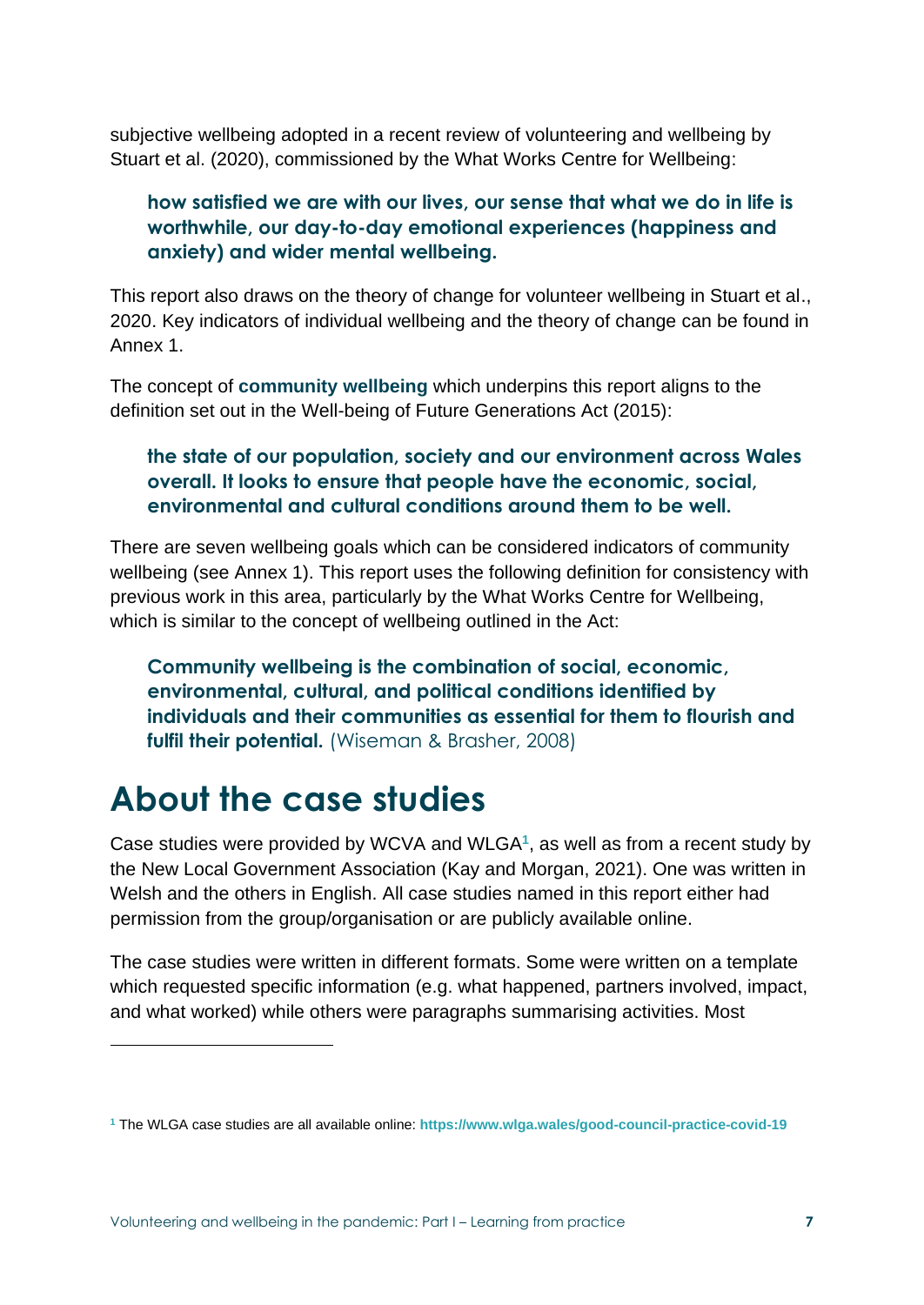subjective wellbeing adopted in a recent review of volunteering and wellbeing by Stuart et al. (2020), commissioned by the What Works Centre for Wellbeing:

#### **how satisfied we are with our lives, our sense that what we do in life is worthwhile, our day-to-day emotional experiences (happiness and anxiety) and wider mental wellbeing.**

This report also draws on the theory of change for volunteer wellbeing in Stuart et al., 2020. Key indicators of individual wellbeing and the theory of change can be found in Annex 1.

The concept of **community wellbeing** which underpins this report aligns to the definition set out in the Well-being of Future Generations Act (2015):

#### **the state of our population, society and our environment across Wales overall. It looks to ensure that people have the economic, social, environmental and cultural conditions around them to be well.**

There are seven wellbeing goals which can be considered indicators of community wellbeing (see Annex 1). This report uses the following definition for consistency with previous work in this area, particularly by the What Works Centre for Wellbeing, which is similar to the concept of wellbeing outlined in the Act:

**Community wellbeing is the combination of social, economic, environmental, cultural, and political conditions identified by individuals and their communities as essential for them to flourish and**  fulfil their potential. (Wiseman & Brasher, 2008)

### **About the case studies**

Case studies were provided by WCVA and WLGA**<sup>1</sup>** , as well as from a recent study by the New Local Government Association (Kay and Morgan, 2021). One was written in Welsh and the others in English. All case studies named in this report either had permission from the group/organisation or are publicly available online.

The case studies were written in different formats. Some were written on a template which requested specific information (e.g. what happened, partners involved, impact, and what worked) while others were paragraphs summarising activities. Most

**<sup>1</sup>** The WLGA case studies are all available online: **<https://www.wlga.wales/good-council-practice-covid-19>**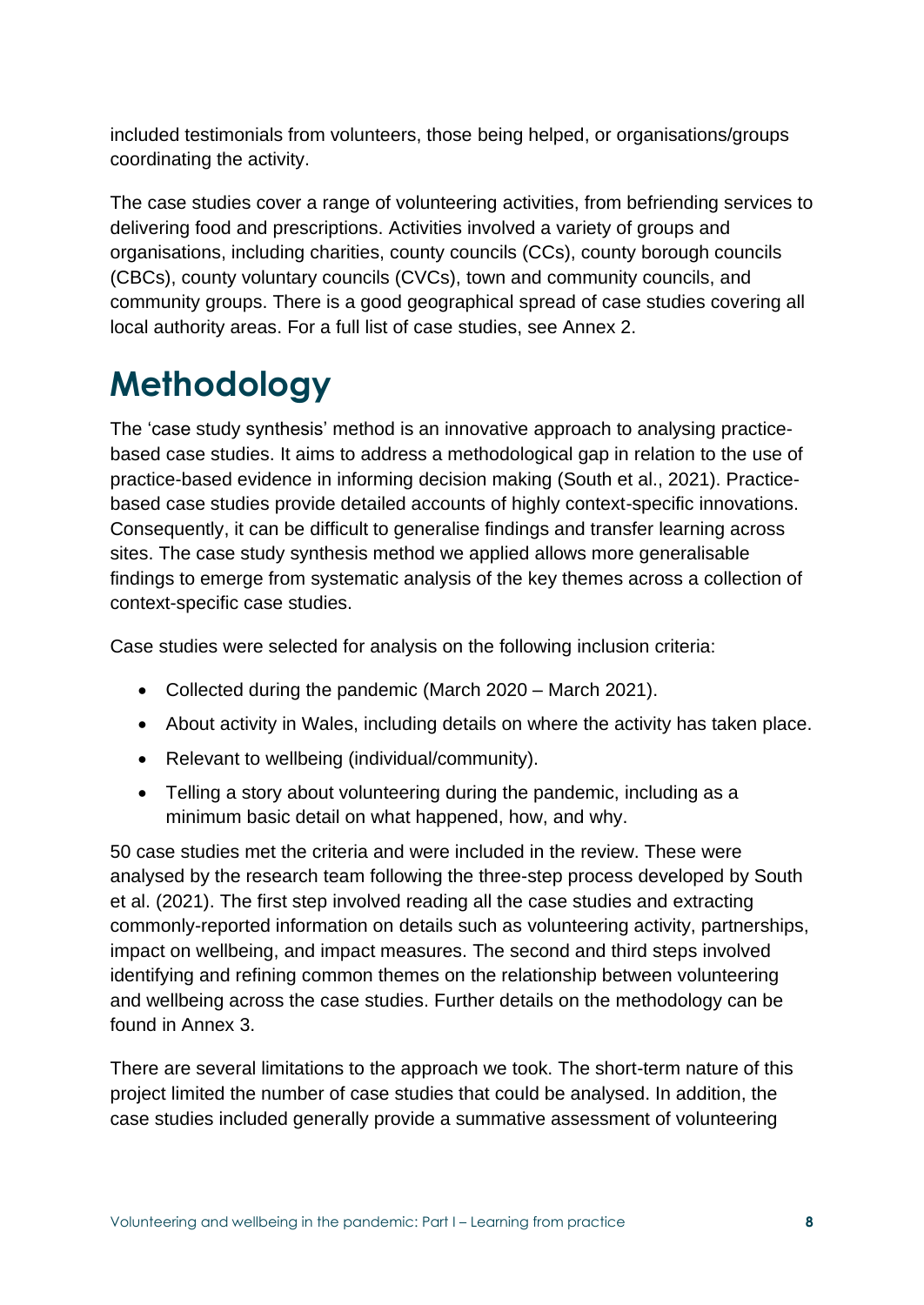included testimonials from volunteers, those being helped, or organisations/groups coordinating the activity.

The case studies cover a range of volunteering activities, from befriending services to delivering food and prescriptions. Activities involved a variety of groups and organisations, including charities, county councils (CCs), county borough councils (CBCs), county voluntary councils (CVCs), town and community councils, and community groups. There is a good geographical spread of case studies covering all local authority areas. For a full list of case studies, see Annex 2.

## **Methodology**

The 'case study synthesis' method is an innovative approach to analysing practicebased case studies. It aims to address a methodological gap in relation to the use of practice-based evidence in informing decision making (South et al., 2021). Practicebased case studies provide detailed accounts of highly context-specific innovations. Consequently, it can be difficult to generalise findings and transfer learning across sites. The case study synthesis method we applied allows more generalisable findings to emerge from systematic analysis of the key themes across a collection of context-specific case studies.

Case studies were selected for analysis on the following inclusion criteria:

- Collected during the pandemic (March 2020 March 2021).
- About activity in Wales, including details on where the activity has taken place.
- Relevant to wellbeing (individual/community).
- Telling a story about volunteering during the pandemic, including as a minimum basic detail on what happened, how, and why.

50 case studies met the criteria and were included in the review. These were analysed by the research team following the three-step process developed by South et al. (2021). The first step involved reading all the case studies and extracting commonly-reported information on details such as volunteering activity, partnerships, impact on wellbeing, and impact measures. The second and third steps involved identifying and refining common themes on the relationship between volunteering and wellbeing across the case studies. Further details on the methodology can be found in Annex 3.

There are several limitations to the approach we took. The short-term nature of this project limited the number of case studies that could be analysed. In addition, the case studies included generally provide a summative assessment of volunteering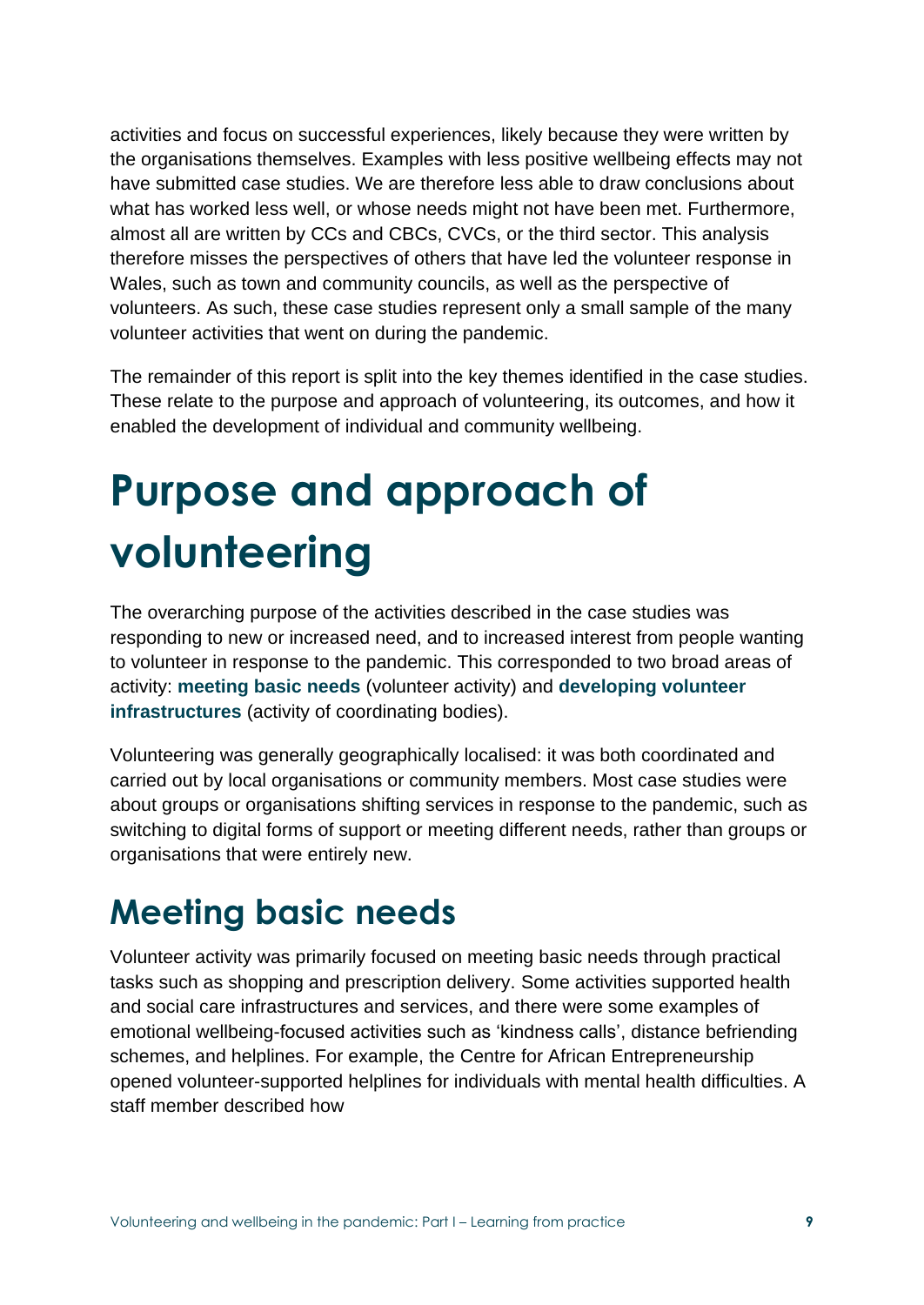activities and focus on successful experiences, likely because they were written by the organisations themselves. Examples with less positive wellbeing effects may not have submitted case studies. We are therefore less able to draw conclusions about what has worked less well, or whose needs might not have been met. Furthermore, almost all are written by CCs and CBCs, CVCs, or the third sector. This analysis therefore misses the perspectives of others that have led the volunteer response in Wales, such as town and community councils, as well as the perspective of volunteers. As such, these case studies represent only a small sample of the many volunteer activities that went on during the pandemic.

The remainder of this report is split into the key themes identified in the case studies. These relate to the purpose and approach of volunteering, its outcomes, and how it enabled the development of individual and community wellbeing.

# **Purpose and approach of volunteering**

The overarching purpose of the activities described in the case studies was responding to new or increased need, and to increased interest from people wanting to volunteer in response to the pandemic. This corresponded to two broad areas of activity: **meeting basic needs** (volunteer activity) and **developing volunteer infrastructures** (activity of coordinating bodies).

Volunteering was generally geographically localised: it was both coordinated and carried out by local organisations or community members. Most case studies were about groups or organisations shifting services in response to the pandemic, such as switching to digital forms of support or meeting different needs, rather than groups or organisations that were entirely new.

## **Meeting basic needs**

Volunteer activity was primarily focused on meeting basic needs through practical tasks such as shopping and prescription delivery. Some activities supported health and social care infrastructures and services, and there were some examples of emotional wellbeing-focused activities such as 'kindness calls', distance befriending schemes, and helplines. For example, the Centre for African Entrepreneurship opened volunteer-supported helplines for individuals with mental health difficulties. A staff member described how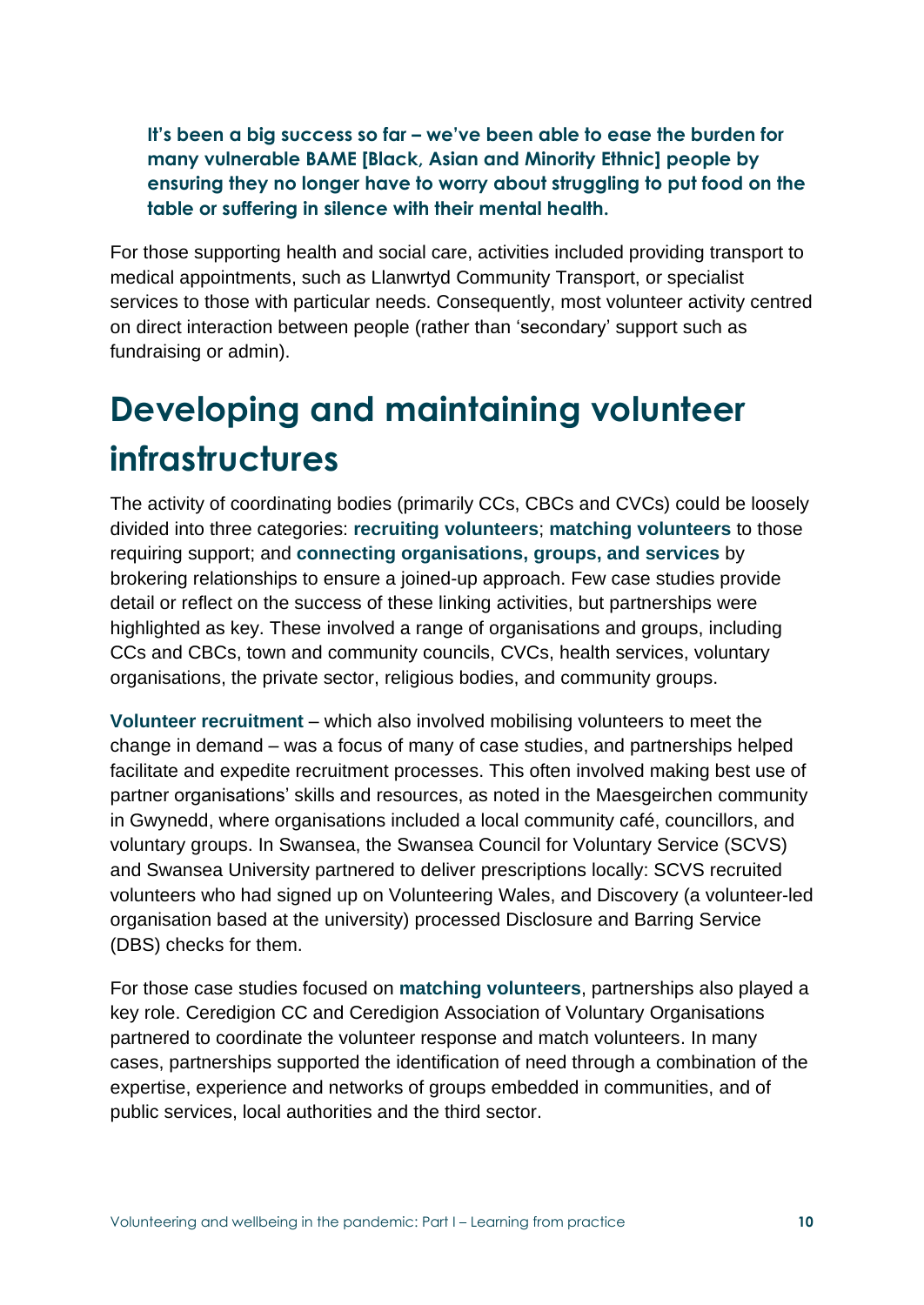**It's been a big success so far – we've been able to ease the burden for many vulnerable BAME [Black, Asian and Minority Ethnic] people by ensuring they no longer have to worry about struggling to put food on the table or suffering in silence with their mental health.**

For those supporting health and social care, activities included providing transport to medical appointments, such as Llanwrtyd Community Transport, or specialist services to those with particular needs. Consequently, most volunteer activity centred on direct interaction between people (rather than 'secondary' support such as fundraising or admin).

## **Developing and maintaining volunteer infrastructures**

The activity of coordinating bodies (primarily CCs, CBCs and CVCs) could be loosely divided into three categories: **recruiting volunteers**; **matching volunteers** to those requiring support; and **connecting organisations, groups, and services** by brokering relationships to ensure a joined-up approach. Few case studies provide detail or reflect on the success of these linking activities, but partnerships were highlighted as key. These involved a range of organisations and groups, including CCs and CBCs, town and community councils, CVCs, health services, voluntary organisations, the private sector, religious bodies, and community groups.

**Volunteer recruitment** – which also involved mobilising volunteers to meet the change in demand – was a focus of many of case studies, and partnerships helped facilitate and expedite recruitment processes. This often involved making best use of partner organisations' skills and resources, as noted in the Maesgeirchen community in Gwynedd, where organisations included a local community café, councillors, and voluntary groups. In Swansea, the Swansea Council for Voluntary Service (SCVS) and Swansea University partnered to deliver prescriptions locally: SCVS recruited volunteers who had signed up on Volunteering Wales, and Discovery (a volunteer-led organisation based at the university) processed Disclosure and Barring Service (DBS) checks for them.

For those case studies focused on **matching volunteers**, partnerships also played a key role. Ceredigion CC and Ceredigion Association of Voluntary Organisations partnered to coordinate the volunteer response and match volunteers. In many cases, partnerships supported the identification of need through a combination of the expertise, experience and networks of groups embedded in communities, and of public services, local authorities and the third sector.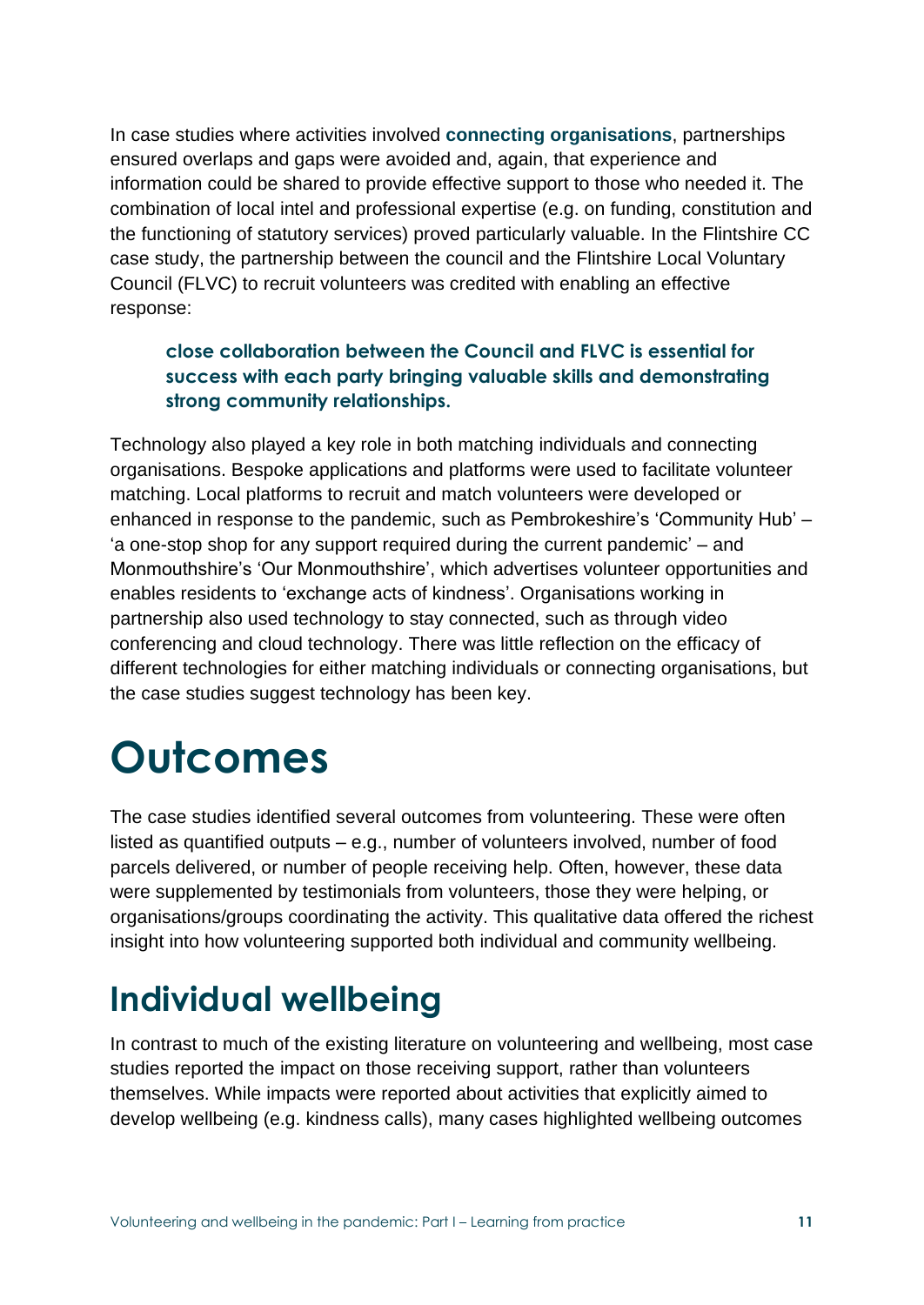In case studies where activities involved **connecting organisations**, partnerships ensured overlaps and gaps were avoided and, again, that experience and information could be shared to provide effective support to those who needed it. The combination of local intel and professional expertise (e.g. on funding, constitution and the functioning of statutory services) proved particularly valuable. In the Flintshire CC case study, the partnership between the council and the Flintshire Local Voluntary Council (FLVC) to recruit volunteers was credited with enabling an effective response:

#### **close collaboration between the Council and FLVC is essential for success with each party bringing valuable skills and demonstrating strong community relationships.**

Technology also played a key role in both matching individuals and connecting organisations. Bespoke applications and platforms were used to facilitate volunteer matching. Local platforms to recruit and match volunteers were developed or enhanced in response to the pandemic, such as Pembrokeshire's 'Community Hub' – 'a one-stop shop for any support required during the current pandemic' – and Monmouthshire's 'Our Monmouthshire', which advertises volunteer opportunities and enables residents to 'exchange acts of kindness'. Organisations working in partnership also used technology to stay connected, such as through video conferencing and cloud technology. There was little reflection on the efficacy of different technologies for either matching individuals or connecting organisations, but the case studies suggest technology has been key.

# **Outcomes**

The case studies identified several outcomes from volunteering. These were often listed as quantified outputs – e.g., number of volunteers involved, number of food parcels delivered, or number of people receiving help. Often, however, these data were supplemented by testimonials from volunteers, those they were helping, or organisations/groups coordinating the activity. This qualitative data offered the richest insight into how volunteering supported both individual and community wellbeing.

## **Individual wellbeing**

In contrast to much of the existing literature on volunteering and wellbeing, most case studies reported the impact on those receiving support, rather than volunteers themselves. While impacts were reported about activities that explicitly aimed to develop wellbeing (e.g. kindness calls), many cases highlighted wellbeing outcomes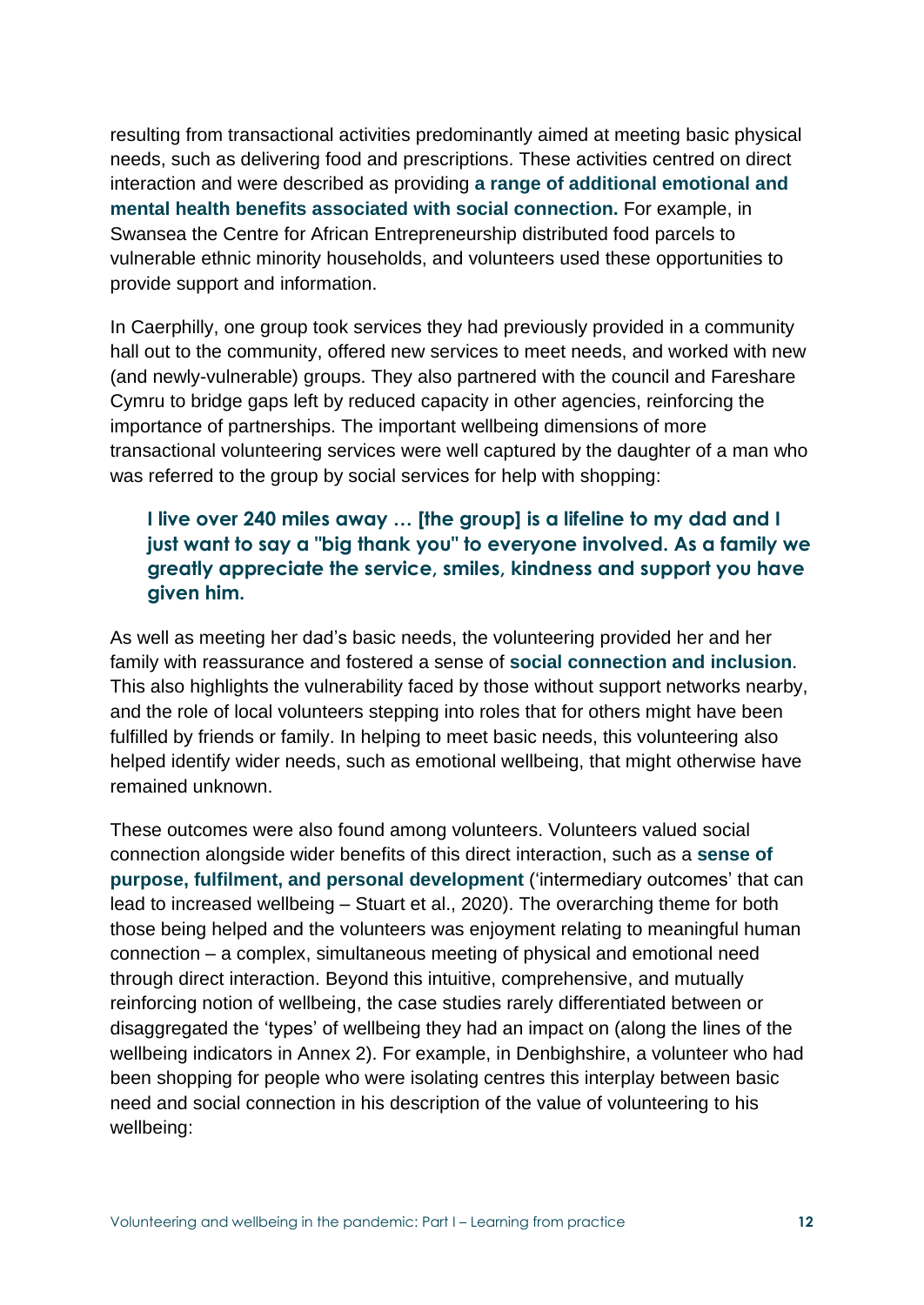resulting from transactional activities predominantly aimed at meeting basic physical needs, such as delivering food and prescriptions. These activities centred on direct interaction and were described as providing **a range of additional emotional and mental health benefits associated with social connection.** For example, in Swansea the Centre for African Entrepreneurship distributed food parcels to vulnerable ethnic minority households, and volunteers used these opportunities to provide support and information.

In Caerphilly, one group took services they had previously provided in a community hall out to the community, offered new services to meet needs, and worked with new (and newly-vulnerable) groups. They also partnered with the council and Fareshare Cymru to bridge gaps left by reduced capacity in other agencies, reinforcing the importance of partnerships. The important wellbeing dimensions of more transactional volunteering services were well captured by the daughter of a man who was referred to the group by social services for help with shopping:

#### **I live over 240 miles away … [the group] is a lifeline to my dad and I just want to say a "big thank you" to everyone involved. As a family we greatly appreciate the service, smiles, kindness and support you have given him.**

As well as meeting her dad's basic needs, the volunteering provided her and her family with reassurance and fostered a sense of **social connection and inclusion**. This also highlights the vulnerability faced by those without support networks nearby, and the role of local volunteers stepping into roles that for others might have been fulfilled by friends or family. In helping to meet basic needs, this volunteering also helped identify wider needs, such as emotional wellbeing, that might otherwise have remained unknown.

These outcomes were also found among volunteers. Volunteers valued social connection alongside wider benefits of this direct interaction, such as a **sense of purpose, fulfilment, and personal development** ('intermediary outcomes' that can lead to increased wellbeing – Stuart et al., 2020). The overarching theme for both those being helped and the volunteers was enjoyment relating to meaningful human connection – a complex, simultaneous meeting of physical and emotional need through direct interaction. Beyond this intuitive, comprehensive, and mutually reinforcing notion of wellbeing, the case studies rarely differentiated between or disaggregated the 'types' of wellbeing they had an impact on (along the lines of the wellbeing indicators in Annex 2). For example, in Denbighshire, a volunteer who had been shopping for people who were isolating centres this interplay between basic need and social connection in his description of the value of volunteering to his wellbeing: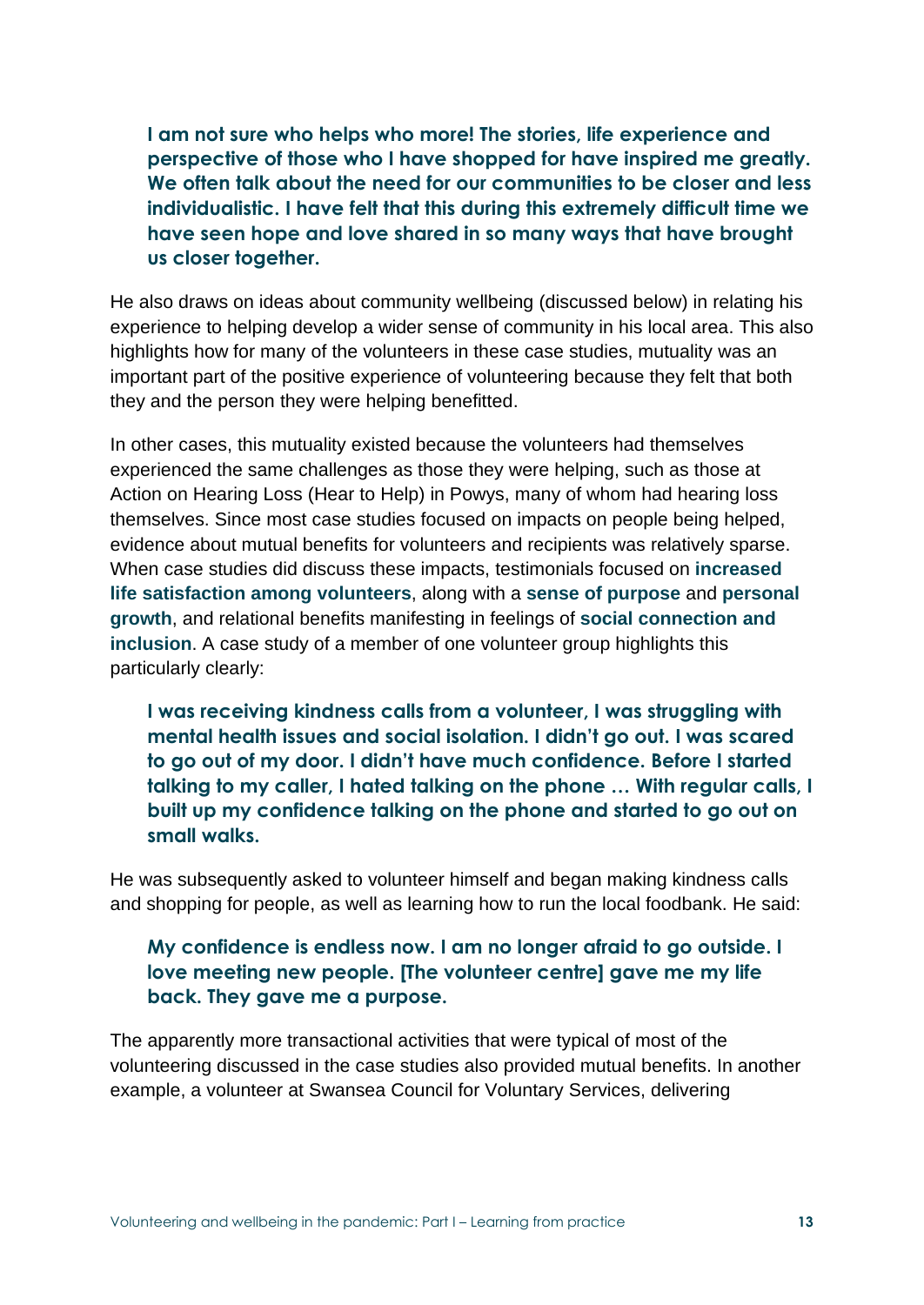**I am not sure who helps who more! The stories, life experience and perspective of those who I have shopped for have inspired me greatly. We often talk about the need for our communities to be closer and less individualistic. I have felt that this during this extremely difficult time we have seen hope and love shared in so many ways that have brought us closer together.**

He also draws on ideas about community wellbeing (discussed below) in relating his experience to helping develop a wider sense of community in his local area. This also highlights how for many of the volunteers in these case studies, mutuality was an important part of the positive experience of volunteering because they felt that both they and the person they were helping benefitted.

In other cases, this mutuality existed because the volunteers had themselves experienced the same challenges as those they were helping, such as those at Action on Hearing Loss (Hear to Help) in Powys, many of whom had hearing loss themselves. Since most case studies focused on impacts on people being helped, evidence about mutual benefits for volunteers and recipients was relatively sparse. When case studies did discuss these impacts, testimonials focused on **increased life satisfaction among volunteers**, along with a **sense of purpose** and **personal growth**, and relational benefits manifesting in feelings of **social connection and inclusion**. A case study of a member of one volunteer group highlights this particularly clearly:

**I was receiving kindness calls from a volunteer, I was struggling with mental health issues and social isolation. I didn't go out. I was scared to go out of my door. I didn't have much confidence. Before I started talking to my caller, I hated talking on the phone … With regular calls, I built up my confidence talking on the phone and started to go out on small walks.**

He was subsequently asked to volunteer himself and began making kindness calls and shopping for people, as well as learning how to run the local foodbank. He said:

#### **My confidence is endless now. I am no longer afraid to go outside. I love meeting new people. [The volunteer centre] gave me my life back. They gave me a purpose.**

The apparently more transactional activities that were typical of most of the volunteering discussed in the case studies also provided mutual benefits. In another example, a volunteer at Swansea Council for Voluntary Services, delivering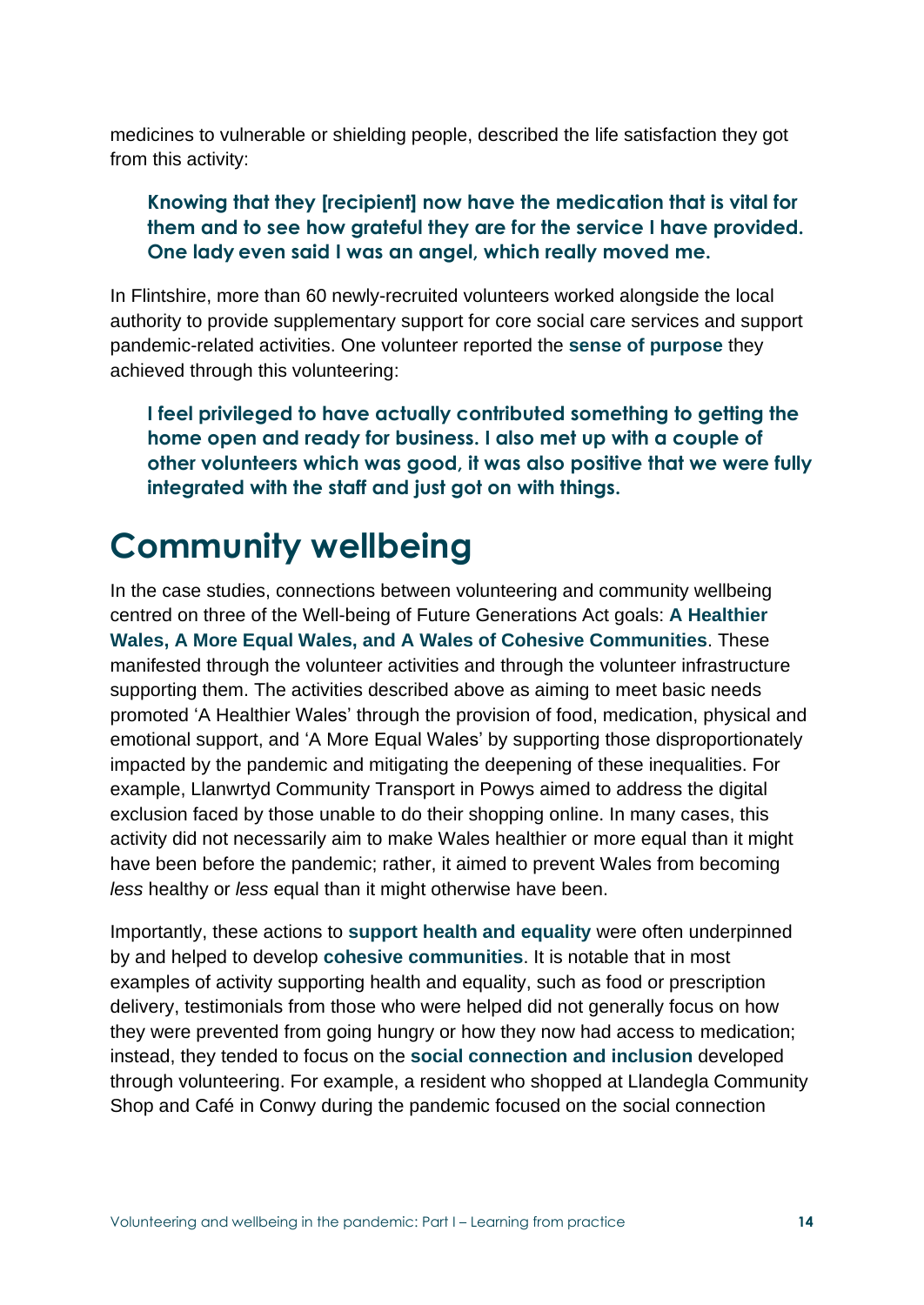medicines to vulnerable or shielding people, described the life satisfaction they got from this activity:

#### **Knowing that they [recipient] now have the medication that is vital for them and to see how grateful they are for the service I have provided. One lady even said I was an angel, which really moved me.**

In Flintshire, more than 60 newly-recruited volunteers worked alongside the local authority to provide supplementary support for core social care services and support pandemic-related activities. One volunteer reported the **sense of purpose** they achieved through this volunteering:

**I feel privileged to have actually contributed something to getting the home open and ready for business. I also met up with a couple of other volunteers which was good, it was also positive that we were fully integrated with the staff and just got on with things.**

## **Community wellbeing**

In the case studies, connections between volunteering and community wellbeing centred on three of the Well-being of Future Generations Act goals: **A Healthier Wales, A More Equal Wales, and A Wales of Cohesive Communities**. These manifested through the volunteer activities and through the volunteer infrastructure supporting them. The activities described above as aiming to meet basic needs promoted 'A Healthier Wales' through the provision of food, medication, physical and emotional support, and 'A More Equal Wales' by supporting those disproportionately impacted by the pandemic and mitigating the deepening of these inequalities. For example, Llanwrtyd Community Transport in Powys aimed to address the digital exclusion faced by those unable to do their shopping online. In many cases, this activity did not necessarily aim to make Wales healthier or more equal than it might have been before the pandemic; rather, it aimed to prevent Wales from becoming *less* healthy or *less* equal than it might otherwise have been.

Importantly, these actions to **support health and equality** were often underpinned by and helped to develop **cohesive communities**. It is notable that in most examples of activity supporting health and equality, such as food or prescription delivery, testimonials from those who were helped did not generally focus on how they were prevented from going hungry or how they now had access to medication; instead, they tended to focus on the **social connection and inclusion** developed through volunteering. For example, a resident who shopped at Llandegla Community Shop and Café in Conwy during the pandemic focused on the social connection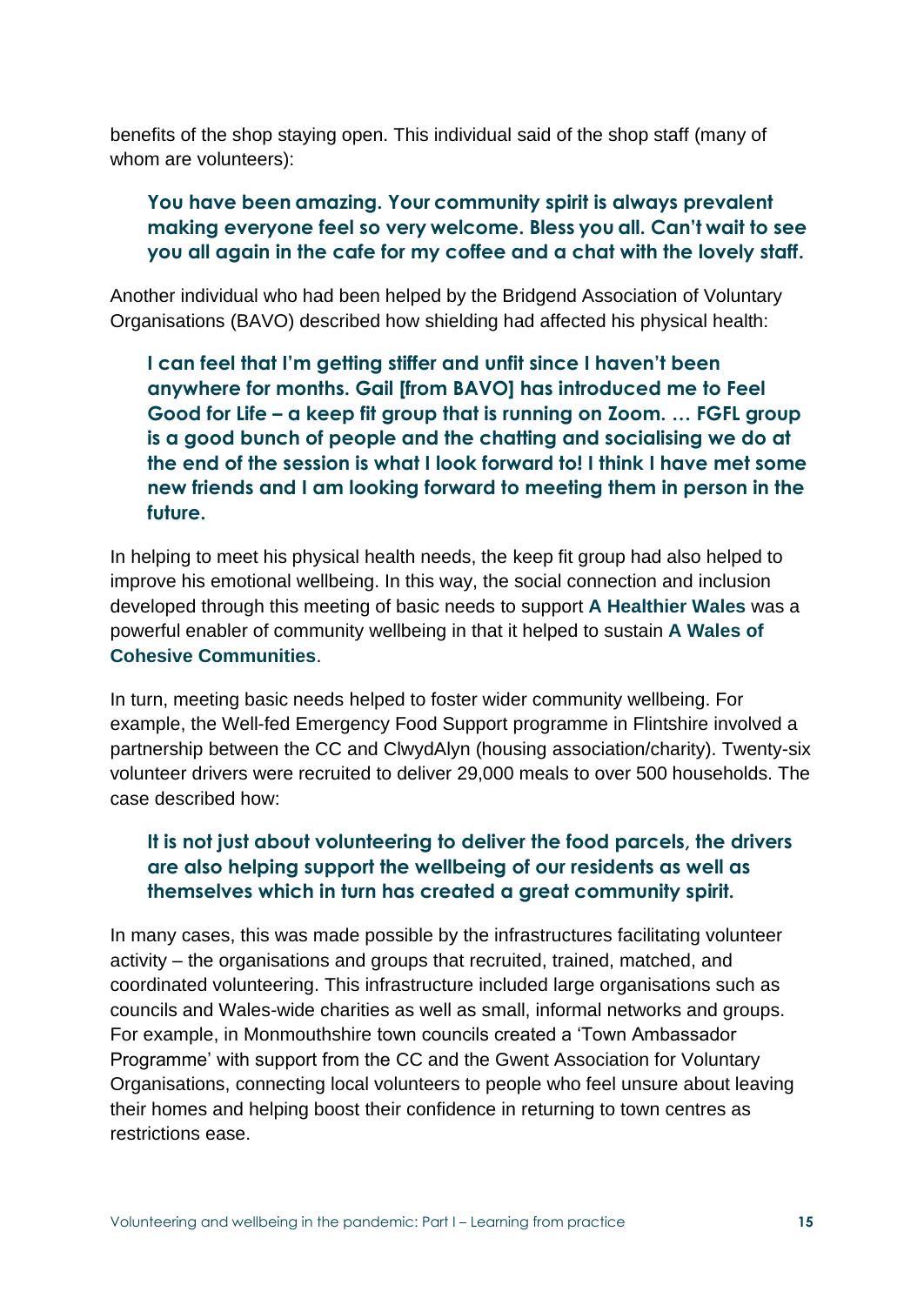benefits of the shop staying open. This individual said of the shop staff (many of whom are volunteers):

#### **You have been amazing. Your community spirit is always prevalent making everyone feel so very welcome. Bless you all. Can't wait to see you all again in the cafe for my coffee and a chat with the lovely staff.**

Another individual who had been helped by the Bridgend Association of Voluntary Organisations (BAVO) described how shielding had affected his physical health:

**I can feel that I'm getting stiffer and unfit since I haven't been anywhere for months. Gail [from BAVO] has introduced me to Feel Good for Life – a keep fit group that is running on Zoom. … FGFL group is a good bunch of people and the chatting and socialising we do at the end of the session is what I look forward to! I think I have met some new friends and I am looking forward to meeting them in person in the future.**

In helping to meet his physical health needs, the keep fit group had also helped to improve his emotional wellbeing. In this way, the social connection and inclusion developed through this meeting of basic needs to support **A Healthier Wales** was a powerful enabler of community wellbeing in that it helped to sustain **A Wales of Cohesive Communities**.

In turn, meeting basic needs helped to foster wider community wellbeing. For example, the Well-fed Emergency Food Support programme in Flintshire involved a partnership between the CC and ClwydAlyn (housing association/charity). Twenty-six volunteer drivers were recruited to deliver 29,000 meals to over 500 households. The case described how:

#### **It is not just about volunteering to deliver the food parcels, the drivers are also helping support the wellbeing of our residents as well as themselves which in turn has created a great community spirit.**

In many cases, this was made possible by the infrastructures facilitating volunteer activity – the organisations and groups that recruited, trained, matched, and coordinated volunteering. This infrastructure included large organisations such as councils and Wales-wide charities as well as small, informal networks and groups. For example, in Monmouthshire town councils created a 'Town Ambassador Programme' with support from the CC and the Gwent Association for Voluntary Organisations, connecting local volunteers to people who feel unsure about leaving their homes and helping boost their confidence in returning to town centres as restrictions ease.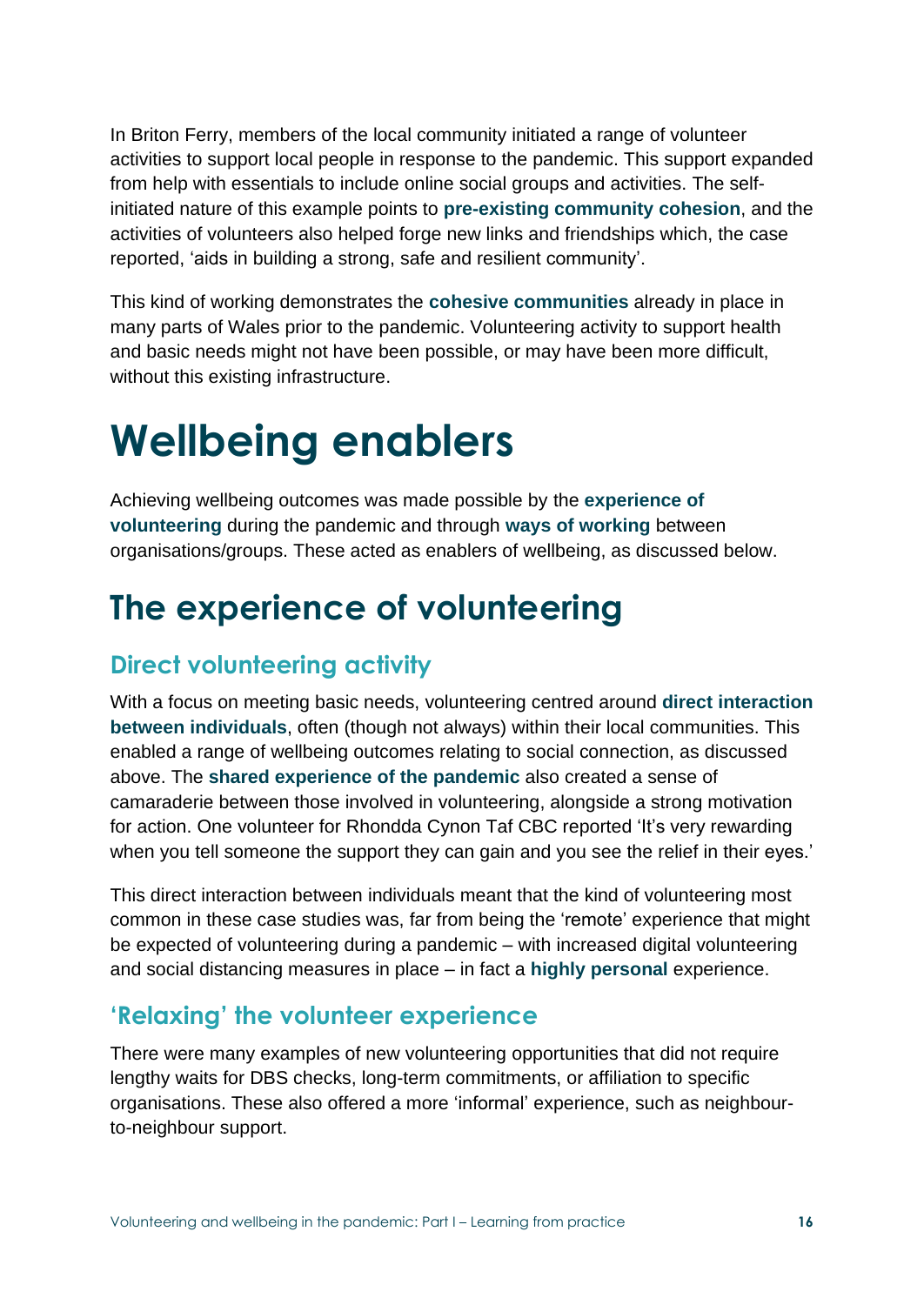In Briton Ferry, members of the local community initiated a range of volunteer activities to support local people in response to the pandemic. This support expanded from help with essentials to include online social groups and activities. The selfinitiated nature of this example points to **pre-existing community cohesion**, and the activities of volunteers also helped forge new links and friendships which, the case reported, 'aids in building a strong, safe and resilient community'.

This kind of working demonstrates the **cohesive communities** already in place in many parts of Wales prior to the pandemic. Volunteering activity to support health and basic needs might not have been possible, or may have been more difficult, without this existing infrastructure.

# **Wellbeing enablers**

Achieving wellbeing outcomes was made possible by the **experience of volunteering** during the pandemic and through **ways of working** between organisations/groups. These acted as enablers of wellbeing, as discussed below.

## **The experience of volunteering**

### **Direct volunteering activity**

With a focus on meeting basic needs, volunteering centred around **direct interaction between individuals**, often (though not always) within their local communities. This enabled a range of wellbeing outcomes relating to social connection, as discussed above. The **shared experience of the pandemic** also created a sense of camaraderie between those involved in volunteering, alongside a strong motivation for action. One volunteer for Rhondda Cynon Taf CBC reported 'It's very rewarding when you tell someone the support they can gain and you see the relief in their eyes.'

This direct interaction between individuals meant that the kind of volunteering most common in these case studies was, far from being the 'remote' experience that might be expected of volunteering during a pandemic – with increased digital volunteering and social distancing measures in place – in fact a **highly personal** experience.

### **'Relaxing' the volunteer experience**

There were many examples of new volunteering opportunities that did not require lengthy waits for DBS checks, long-term commitments, or affiliation to specific organisations. These also offered a more 'informal' experience, such as neighbourto-neighbour support.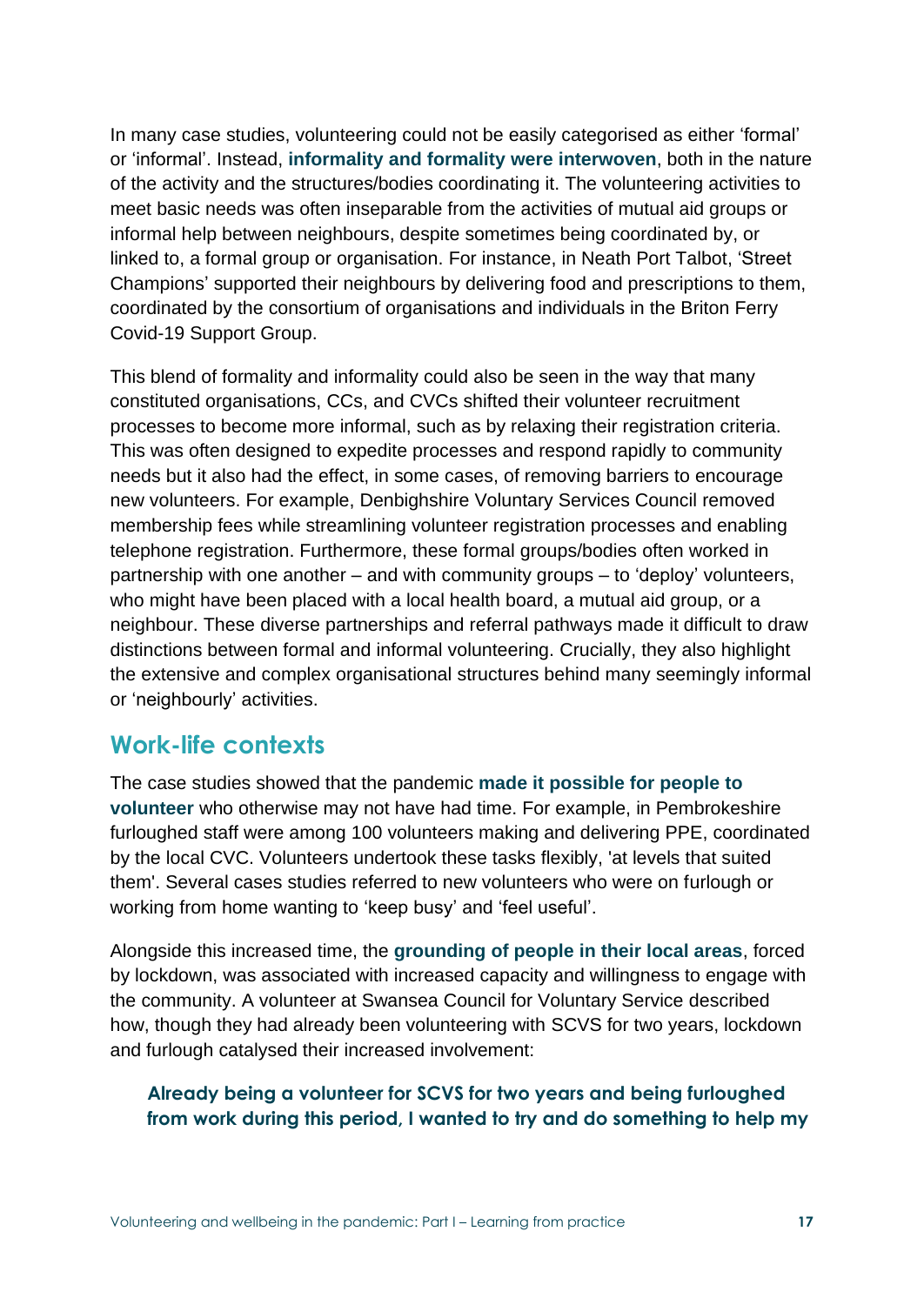In many case studies, volunteering could not be easily categorised as either 'formal' or 'informal'. Instead, **informality and formality were interwoven**, both in the nature of the activity and the structures/bodies coordinating it. The volunteering activities to meet basic needs was often inseparable from the activities of mutual aid groups or informal help between neighbours, despite sometimes being coordinated by, or linked to, a formal group or organisation. For instance, in Neath Port Talbot, 'Street Champions' supported their neighbours by delivering food and prescriptions to them, coordinated by the consortium of organisations and individuals in the Briton Ferry Covid-19 Support Group.

This blend of formality and informality could also be seen in the way that many constituted organisations, CCs, and CVCs shifted their volunteer recruitment processes to become more informal, such as by relaxing their registration criteria. This was often designed to expedite processes and respond rapidly to community needs but it also had the effect, in some cases, of removing barriers to encourage new volunteers. For example, Denbighshire Voluntary Services Council removed membership fees while streamlining volunteer registration processes and enabling telephone registration. Furthermore, these formal groups/bodies often worked in partnership with one another – and with community groups – to 'deploy' volunteers, who might have been placed with a local health board, a mutual aid group, or a neighbour. These diverse partnerships and referral pathways made it difficult to draw distinctions between formal and informal volunteering. Crucially, they also highlight the extensive and complex organisational structures behind many seemingly informal or 'neighbourly' activities.

#### **Work-life contexts**

The case studies showed that the pandemic **made it possible for people to volunteer** who otherwise may not have had time. For example, in Pembrokeshire furloughed staff were among 100 volunteers making and delivering PPE, coordinated by the local CVC. Volunteers undertook these tasks flexibly, 'at levels that suited them'. Several cases studies referred to new volunteers who were on furlough or working from home wanting to 'keep busy' and 'feel useful'.

Alongside this increased time, the **grounding of people in their local areas**, forced by lockdown, was associated with increased capacity and willingness to engage with the community. A volunteer at Swansea Council for Voluntary Service described how, though they had already been volunteering with SCVS for two years, lockdown and furlough catalysed their increased involvement:

#### **Already being a volunteer for SCVS for two years and being furloughed from work during this period, I wanted to try and do something to help my**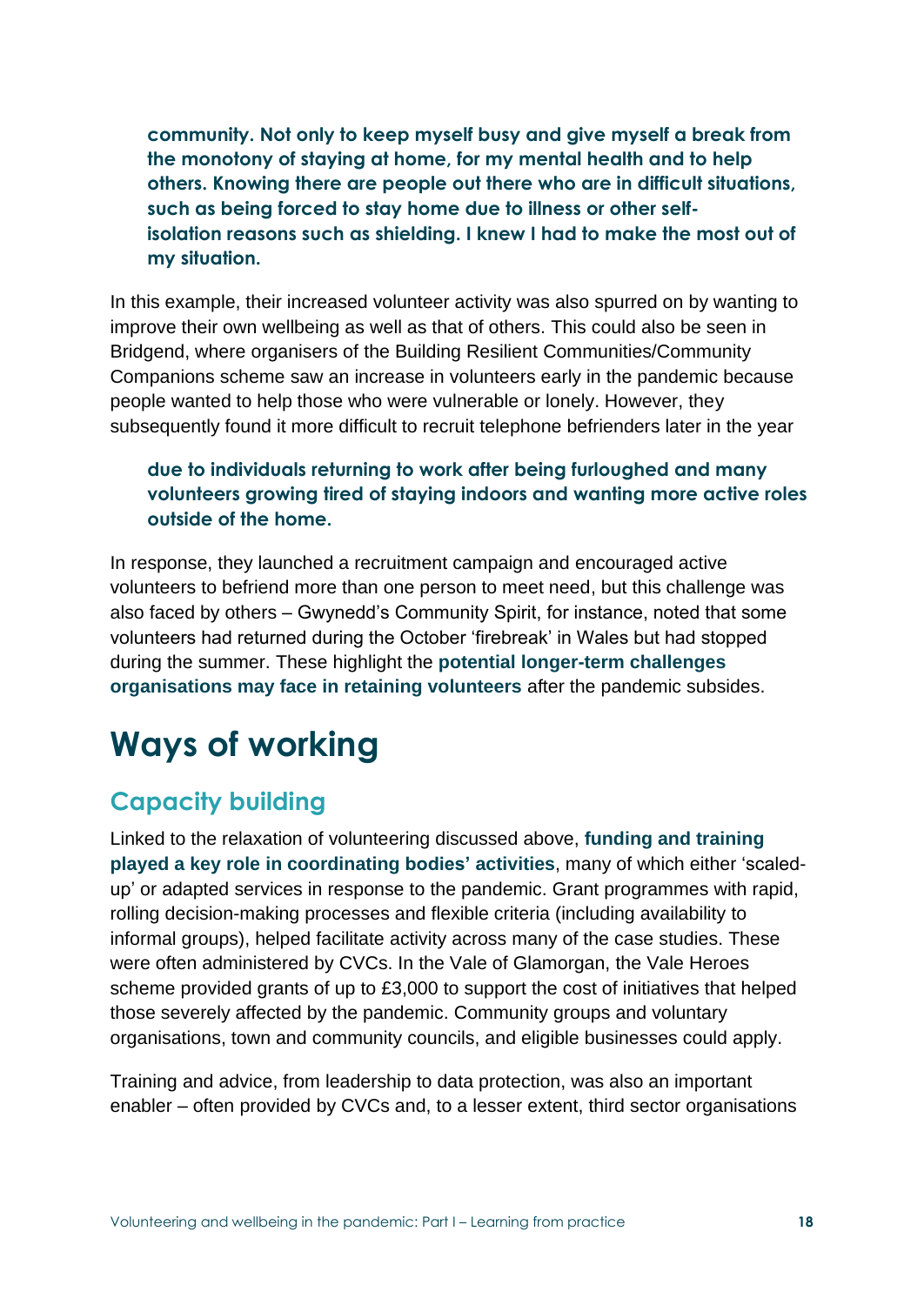**community. Not only to keep myself busy and give myself a break from the monotony of staying at home, for my mental health and to help others. Knowing there are people out there who are in difficult situations, such as being forced to stay home due to illness or other selfisolation reasons such as shielding. I knew I had to make the most out of my situation.**

In this example, their increased volunteer activity was also spurred on by wanting to improve their own wellbeing as well as that of others. This could also be seen in Bridgend, where organisers of the Building Resilient Communities/Community Companions scheme saw an increase in volunteers early in the pandemic because people wanted to help those who were vulnerable or lonely. However, they subsequently found it more difficult to recruit telephone befrienders later in the year

#### **due to individuals returning to work after being furloughed and many volunteers growing tired of staying indoors and wanting more active roles outside of the home.**

In response, they launched a recruitment campaign and encouraged active volunteers to befriend more than one person to meet need, but this challenge was also faced by others – Gwynedd's Community Spirit, for instance, noted that some volunteers had returned during the October 'firebreak' in Wales but had stopped during the summer. These highlight the **potential longer-term challenges organisations may face in retaining volunteers** after the pandemic subsides.

## **Ways of working**

### **Capacity building**

Linked to the relaxation of volunteering discussed above, **funding and training played a key role in coordinating bodies' activities**, many of which either 'scaledup' or adapted services in response to the pandemic. Grant programmes with rapid, rolling decision-making processes and flexible criteria (including availability to informal groups), helped facilitate activity across many of the case studies. These were often administered by CVCs. In the Vale of Glamorgan, the Vale Heroes scheme provided grants of up to £3,000 to support the cost of initiatives that helped those severely affected by the pandemic. Community groups and voluntary organisations, town and community councils, and eligible businesses could apply.

Training and advice, from leadership to data protection, was also an important enabler – often provided by CVCs and, to a lesser extent, third sector organisations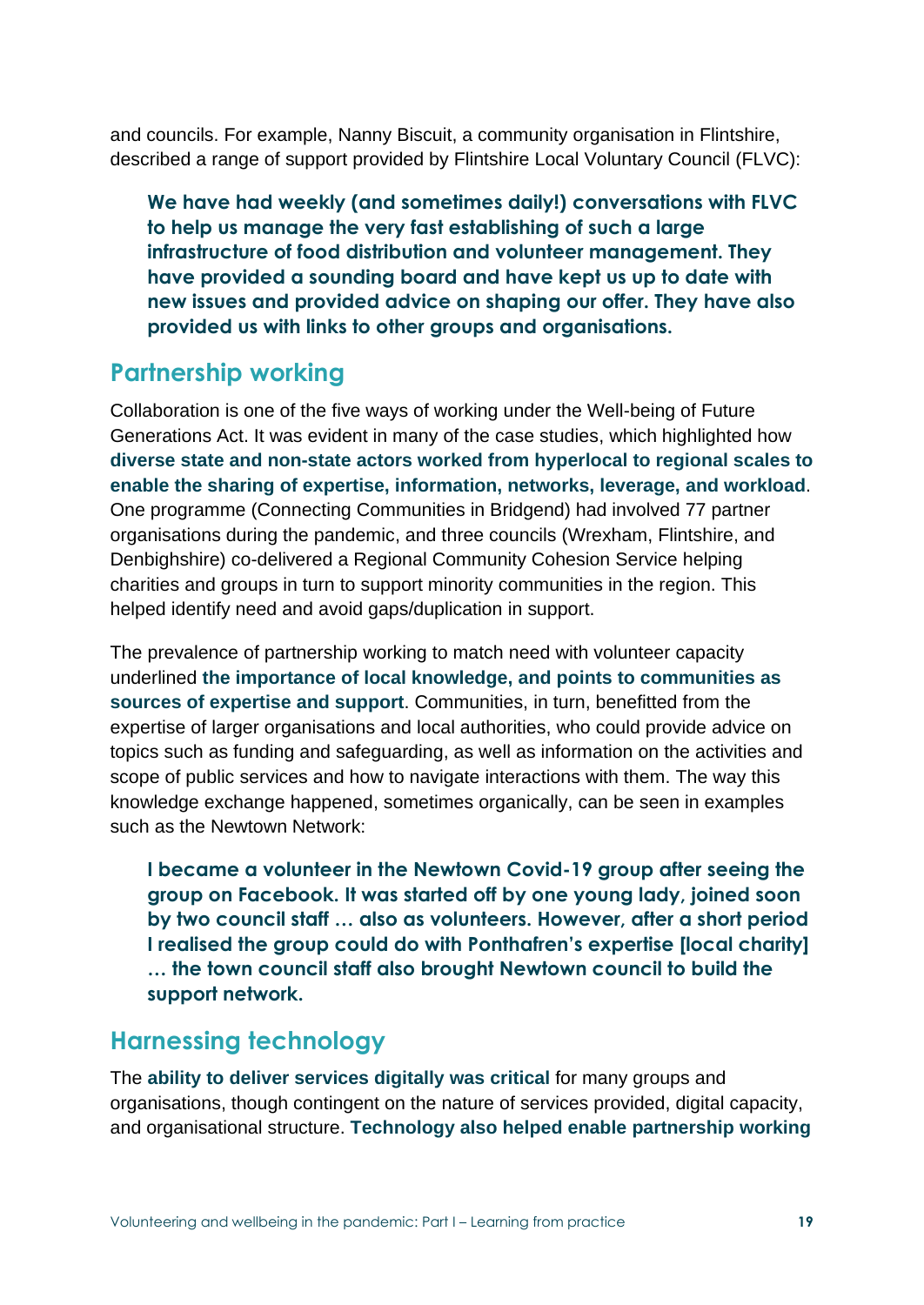and councils. For example, Nanny Biscuit, a community organisation in Flintshire, described a range of support provided by Flintshire Local Voluntary Council (FLVC):

**We have had weekly (and sometimes daily!) conversations with FLVC to help us manage the very fast establishing of such a large infrastructure of food distribution and volunteer management. They have provided a sounding board and have kept us up to date with new issues and provided advice on shaping our offer. They have also provided us with links to other groups and organisations.**

### **Partnership working**

Collaboration is one of the five ways of working under the Well-being of Future Generations Act. It was evident in many of the case studies, which highlighted how **diverse state and non-state actors worked from hyperlocal to regional scales to enable the sharing of expertise, information, networks, leverage, and workload**. One programme (Connecting Communities in Bridgend) had involved 77 partner organisations during the pandemic, and three councils (Wrexham, Flintshire, and Denbighshire) co-delivered a Regional Community Cohesion Service helping charities and groups in turn to support minority communities in the region. This helped identify need and avoid gaps/duplication in support.

The prevalence of partnership working to match need with volunteer capacity underlined **the importance of local knowledge, and points to communities as sources of expertise and support**. Communities, in turn, benefitted from the expertise of larger organisations and local authorities, who could provide advice on topics such as funding and safeguarding, as well as information on the activities and scope of public services and how to navigate interactions with them. The way this knowledge exchange happened, sometimes organically, can be seen in examples such as the Newtown Network:

**I became a volunteer in the Newtown Covid-19 group after seeing the group on Facebook. It was started off by one young lady, joined soon by two council staff … also as volunteers. However, after a short period I realised the group could do with Ponthafren's expertise [local charity] … the town council staff also brought Newtown council to build the support network.**

### **Harnessing technology**

The **ability to deliver services digitally was critical** for many groups and organisations, though contingent on the nature of services provided, digital capacity, and organisational structure. **Technology also helped enable partnership working**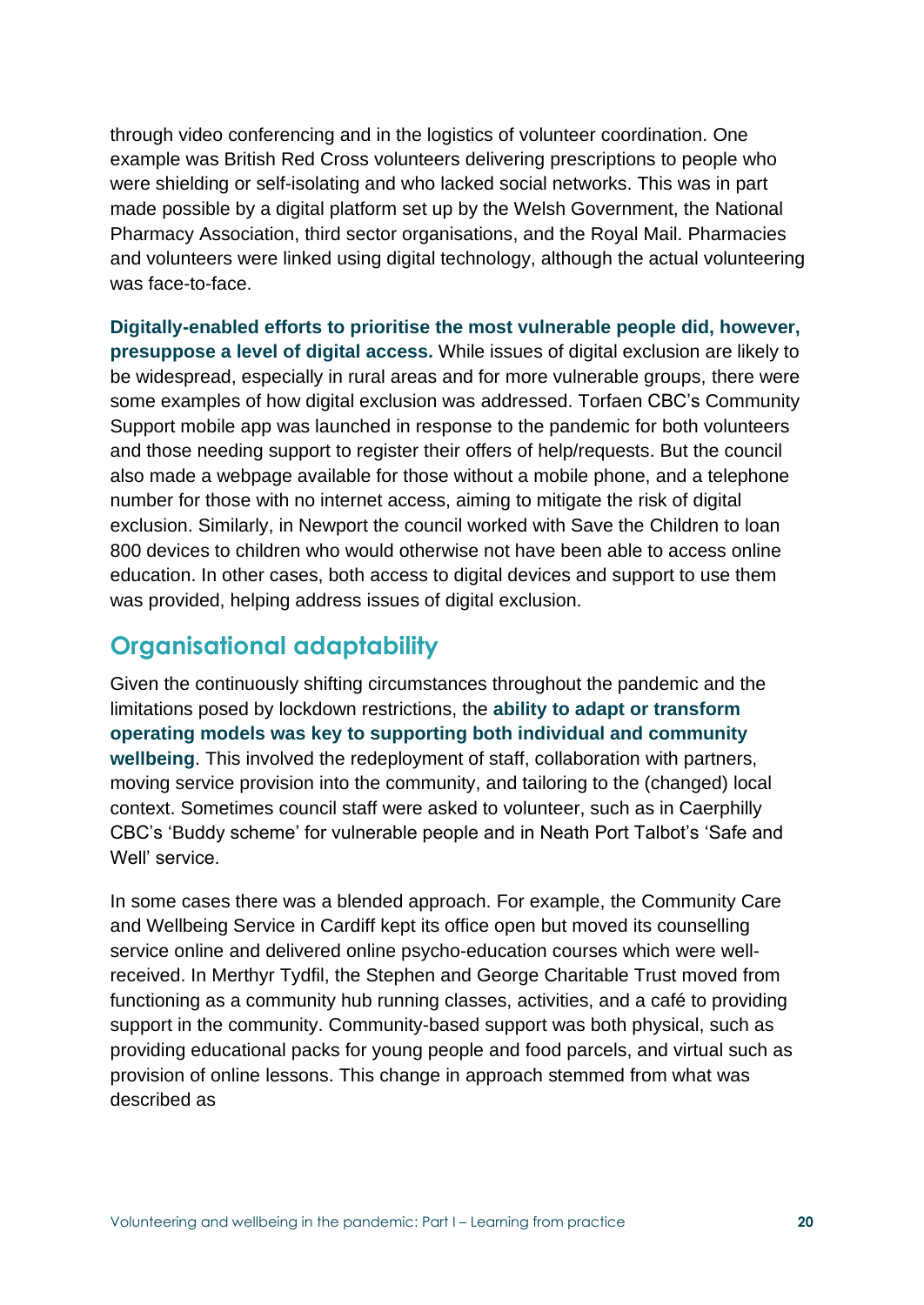through video conferencing and in the logistics of volunteer coordination. One example was British Red Cross volunteers delivering prescriptions to people who were shielding or self-isolating and who lacked social networks. This was in part made possible by a digital platform set up by the Welsh Government, the National Pharmacy Association, third sector organisations, and the Royal Mail. Pharmacies and volunteers were linked using digital technology, although the actual volunteering was face-to-face.

**Digitally-enabled efforts to prioritise the most vulnerable people did, however, presuppose a level of digital access.** While issues of digital exclusion are likely to be widespread, especially in rural areas and for more vulnerable groups, there were some examples of how digital exclusion was addressed. Torfaen CBC's Community Support mobile app was launched in response to the pandemic for both volunteers and those needing support to register their offers of help/requests. But the council also made a webpage available for those without a mobile phone, and a telephone number for those with no internet access, aiming to mitigate the risk of digital exclusion. Similarly, in Newport the council worked with Save the Children to loan 800 devices to children who would otherwise not have been able to access online education. In other cases, both access to digital devices and support to use them was provided, helping address issues of digital exclusion.

### **Organisational adaptability**

Given the continuously shifting circumstances throughout the pandemic and the limitations posed by lockdown restrictions, the **ability to adapt or transform operating models was key to supporting both individual and community wellbeing**. This involved the redeployment of staff, collaboration with partners, moving service provision into the community, and tailoring to the (changed) local context. Sometimes council staff were asked to volunteer, such as in Caerphilly CBC's 'Buddy scheme' for vulnerable people and in Neath Port Talbot's 'Safe and Well' service.

In some cases there was a blended approach. For example, the Community Care and Wellbeing Service in Cardiff kept its office open but moved its counselling service online and delivered online psycho-education courses which were wellreceived. In Merthyr Tydfil, the Stephen and George Charitable Trust moved from functioning as a community hub running classes, activities, and a café to providing support in the community. Community-based support was both physical, such as providing educational packs for young people and food parcels, and virtual such as provision of online lessons. This change in approach stemmed from what was described as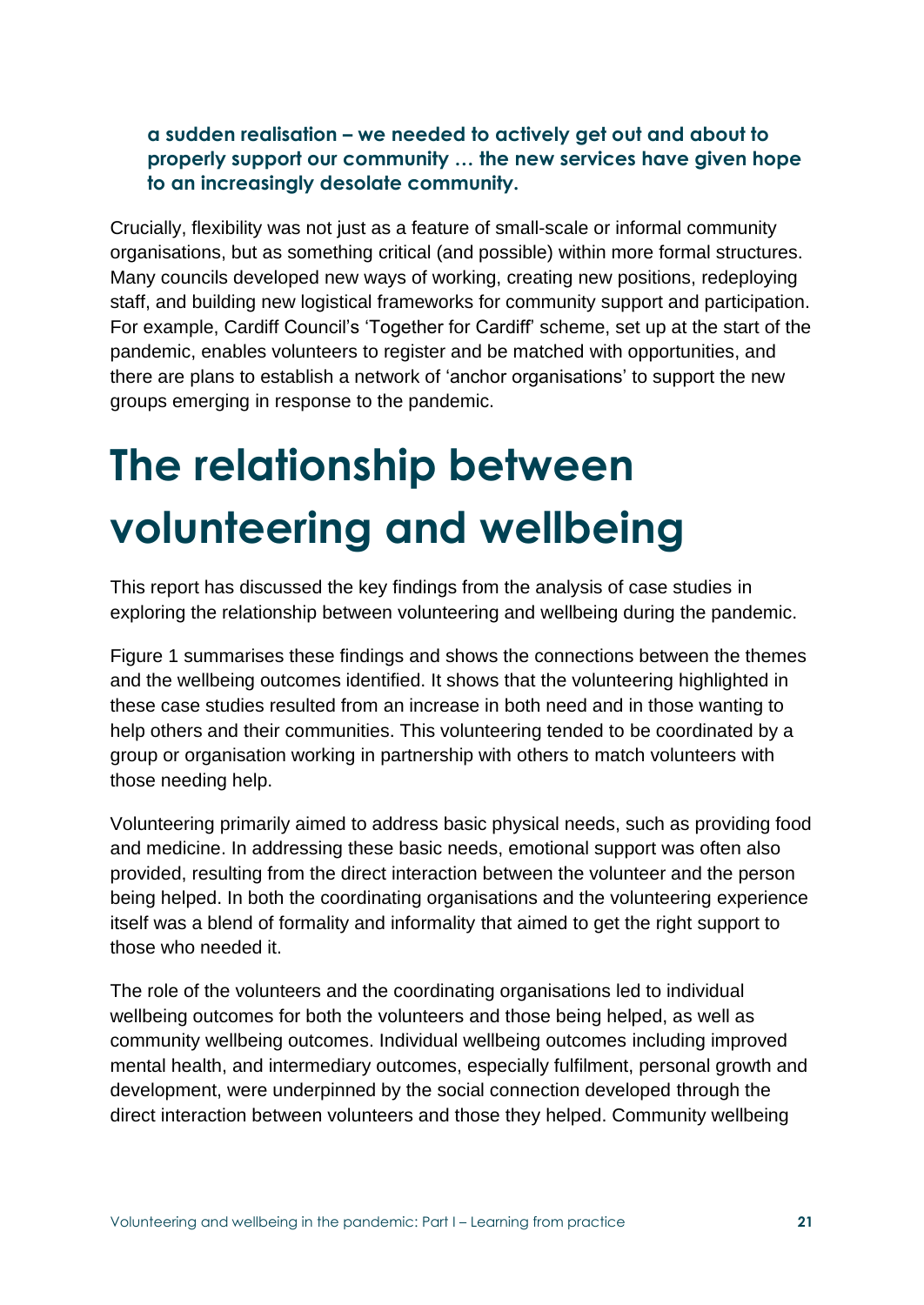#### **a sudden realisation – we needed to actively get out and about to properly support our community … the new services have given hope to an increasingly desolate community.**

Crucially, flexibility was not just as a feature of small-scale or informal community organisations, but as something critical (and possible) within more formal structures. Many councils developed new ways of working, creating new positions, redeploying staff, and building new logistical frameworks for community support and participation. For example, Cardiff Council's 'Together for Cardiff' scheme, set up at the start of the pandemic, enables volunteers to register and be matched with opportunities, and there are plans to establish a network of 'anchor organisations' to support the new groups emerging in response to the pandemic.

# **The relationship between volunteering and wellbeing**

This report has discussed the key findings from the analysis of case studies in exploring the relationship between volunteering and wellbeing during the pandemic.

Figure 1 summarises these findings and shows the connections between the themes and the wellbeing outcomes identified. It shows that the volunteering highlighted in these case studies resulted from an increase in both need and in those wanting to help others and their communities. This volunteering tended to be coordinated by a group or organisation working in partnership with others to match volunteers with those needing help.

Volunteering primarily aimed to address basic physical needs, such as providing food and medicine. In addressing these basic needs, emotional support was often also provided, resulting from the direct interaction between the volunteer and the person being helped. In both the coordinating organisations and the volunteering experience itself was a blend of formality and informality that aimed to get the right support to those who needed it.

The role of the volunteers and the coordinating organisations led to individual wellbeing outcomes for both the volunteers and those being helped, as well as community wellbeing outcomes. Individual wellbeing outcomes including improved mental health, and intermediary outcomes, especially fulfilment, personal growth and development, were underpinned by the social connection developed through the direct interaction between volunteers and those they helped. Community wellbeing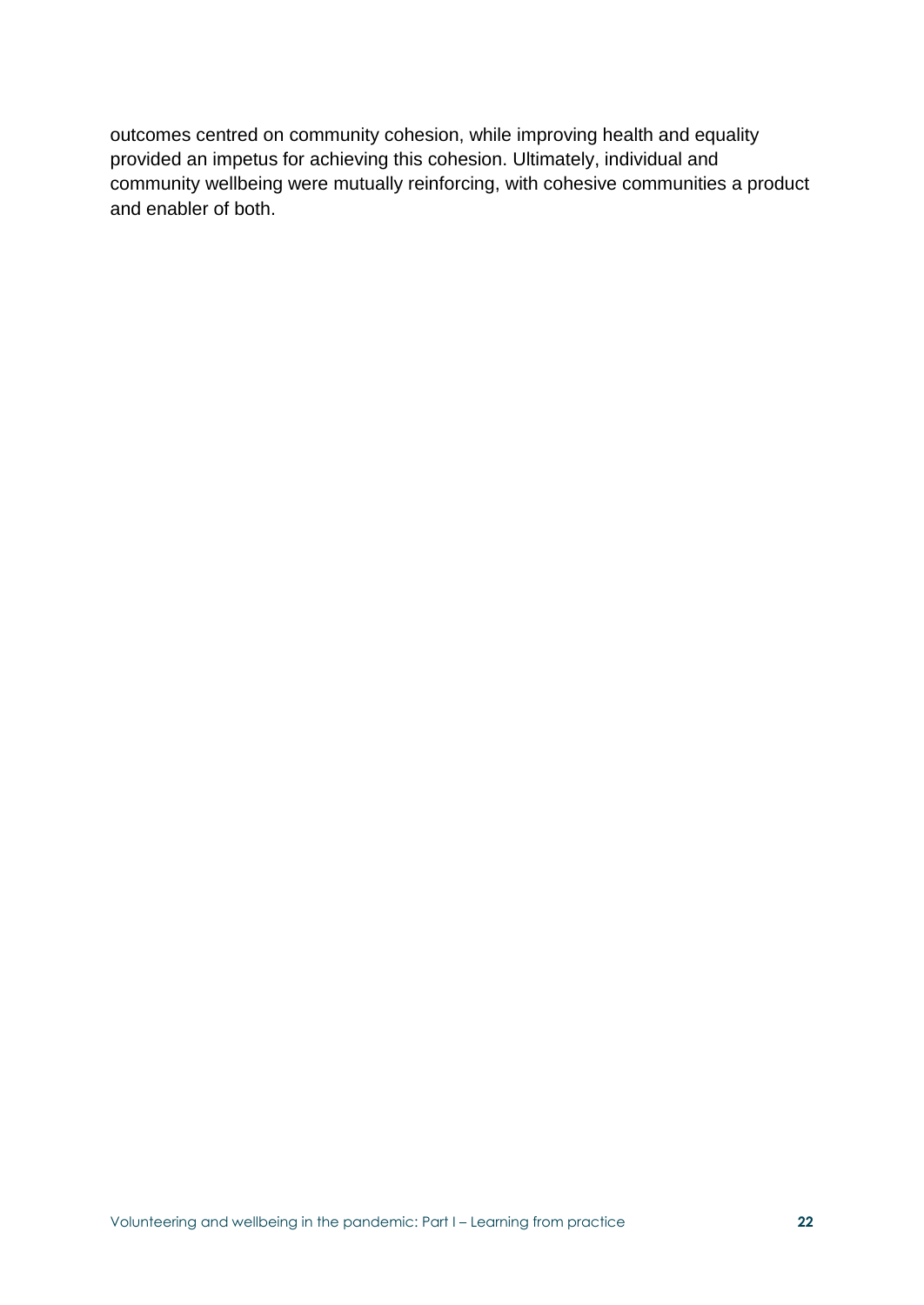outcomes centred on community cohesion, while improving health and equality provided an impetus for achieving this cohesion. Ultimately, individual and community wellbeing were mutually reinforcing, with cohesive communities a product and enabler of both.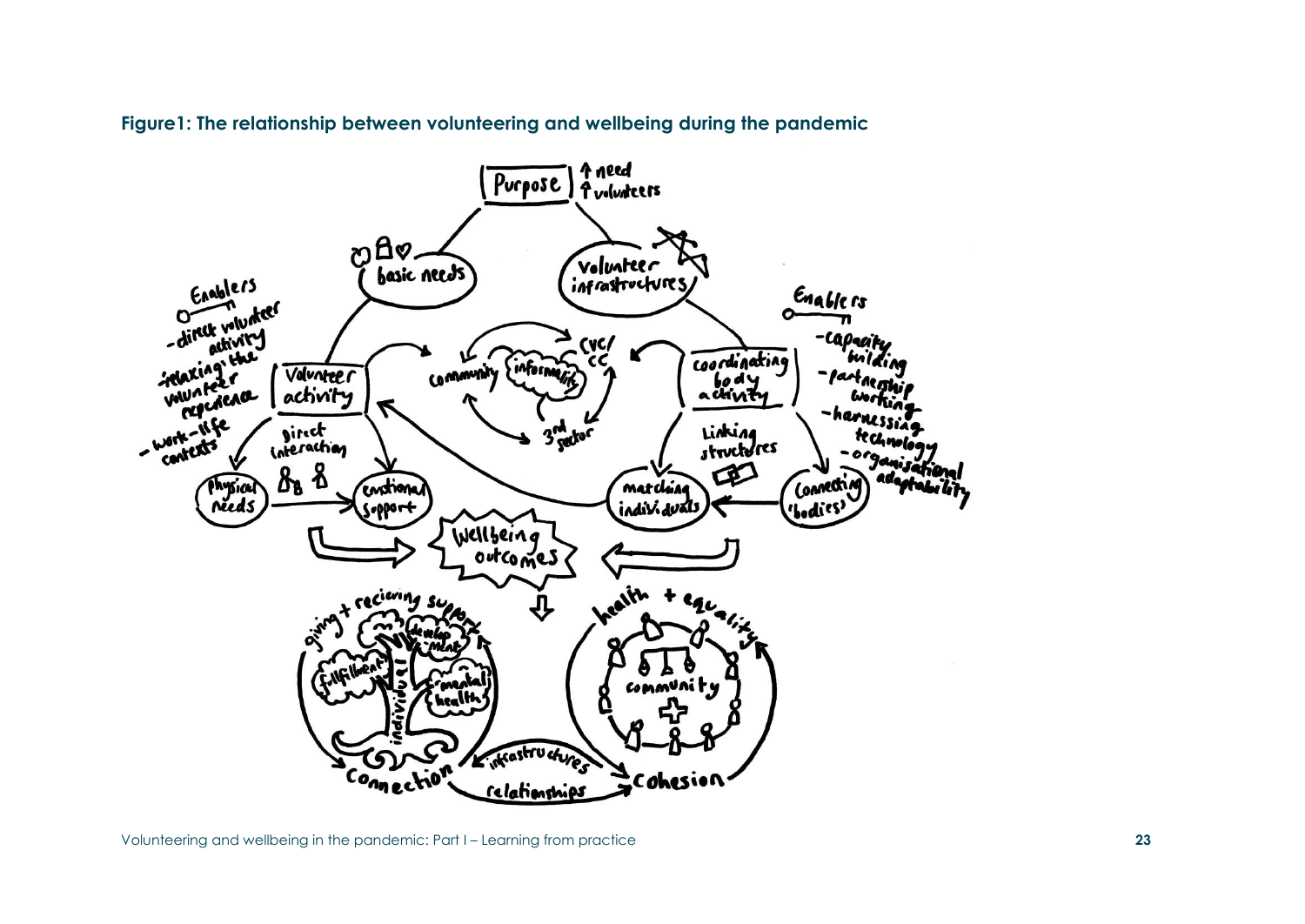

**Figure1: The relationship between volunteering and wellbeing during the pandemic**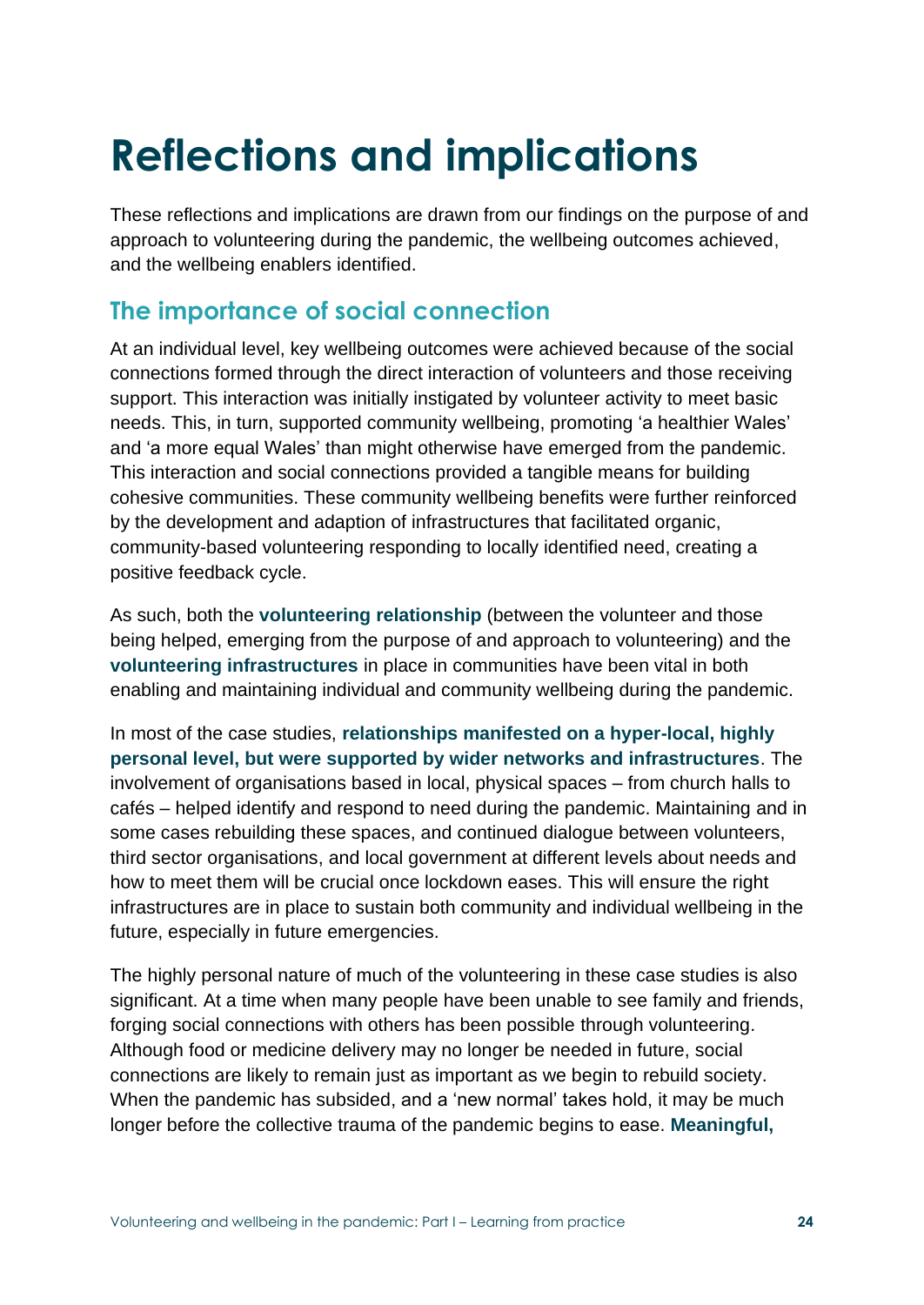# **Reflections and implications**

These reflections and implications are drawn from our findings on the purpose of and approach to volunteering during the pandemic, the wellbeing outcomes achieved, and the wellbeing enablers identified.

### **The importance of social connection**

At an individual level, key wellbeing outcomes were achieved because of the social connections formed through the direct interaction of volunteers and those receiving support. This interaction was initially instigated by volunteer activity to meet basic needs. This, in turn, supported community wellbeing, promoting 'a healthier Wales' and 'a more equal Wales' than might otherwise have emerged from the pandemic. This interaction and social connections provided a tangible means for building cohesive communities. These community wellbeing benefits were further reinforced by the development and adaption of infrastructures that facilitated organic, community-based volunteering responding to locally identified need, creating a positive feedback cycle.

As such, both the **volunteering relationship** (between the volunteer and those being helped, emerging from the purpose of and approach to volunteering) and the **volunteering infrastructures** in place in communities have been vital in both enabling and maintaining individual and community wellbeing during the pandemic.

In most of the case studies, **relationships manifested on a hyper-local, highly personal level, but were supported by wider networks and infrastructures**. The involvement of organisations based in local, physical spaces – from church halls to cafés – helped identify and respond to need during the pandemic. Maintaining and in some cases rebuilding these spaces, and continued dialogue between volunteers, third sector organisations, and local government at different levels about needs and how to meet them will be crucial once lockdown eases. This will ensure the right infrastructures are in place to sustain both community and individual wellbeing in the future, especially in future emergencies.

The highly personal nature of much of the volunteering in these case studies is also significant. At a time when many people have been unable to see family and friends, forging social connections with others has been possible through volunteering. Although food or medicine delivery may no longer be needed in future, social connections are likely to remain just as important as we begin to rebuild society. When the pandemic has subsided, and a 'new normal' takes hold, it may be much longer before the collective trauma of the pandemic begins to ease. **Meaningful,**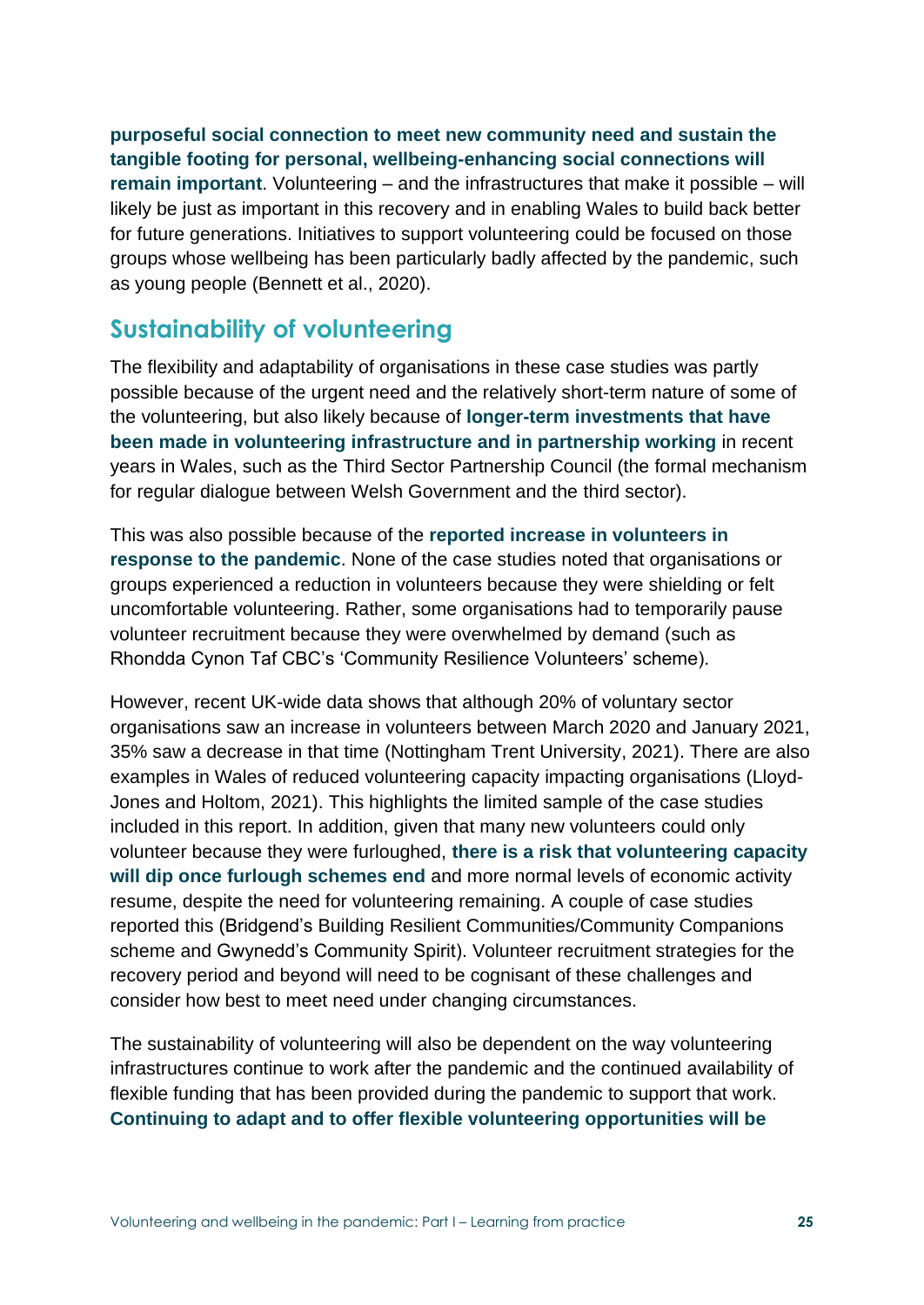**purposeful social connection to meet new community need and sustain the tangible footing for personal, wellbeing-enhancing social connections will remain important**. Volunteering – and the infrastructures that make it possible – will likely be just as important in this recovery and in enabling Wales to build back better for future generations. Initiatives to support volunteering could be focused on those groups whose wellbeing has been particularly badly affected by the pandemic, such as young people (Bennett et al., 2020).

### **Sustainability of volunteering**

The flexibility and adaptability of organisations in these case studies was partly possible because of the urgent need and the relatively short-term nature of some of the volunteering, but also likely because of **longer-term investments that have been made in volunteering infrastructure and in partnership working** in recent years in Wales, such as the Third Sector Partnership Council (the formal mechanism for regular dialogue between Welsh Government and the third sector).

This was also possible because of the **reported increase in volunteers in response to the pandemic**. None of the case studies noted that organisations or groups experienced a reduction in volunteers because they were shielding or felt uncomfortable volunteering. Rather, some organisations had to temporarily pause volunteer recruitment because they were overwhelmed by demand (such as Rhondda Cynon Taf CBC's 'Community Resilience Volunteers' scheme).

However, recent UK-wide data shows that although 20% of voluntary sector organisations saw an increase in volunteers between March 2020 and January 2021, 35% saw a decrease in that time (Nottingham Trent University, 2021). There are also examples in Wales of reduced volunteering capacity impacting organisations (Lloyd-Jones and Holtom, 2021). This highlights the limited sample of the case studies included in this report. In addition, given that many new volunteers could only volunteer because they were furloughed, **there is a risk that volunteering capacity will dip once furlough schemes end** and more normal levels of economic activity resume, despite the need for volunteering remaining. A couple of case studies reported this (Bridgend's Building Resilient Communities/Community Companions scheme and Gwynedd's Community Spirit). Volunteer recruitment strategies for the recovery period and beyond will need to be cognisant of these challenges and consider how best to meet need under changing circumstances.

The sustainability of volunteering will also be dependent on the way volunteering infrastructures continue to work after the pandemic and the continued availability of flexible funding that has been provided during the pandemic to support that work. **Continuing to adapt and to offer flexible volunteering opportunities will be**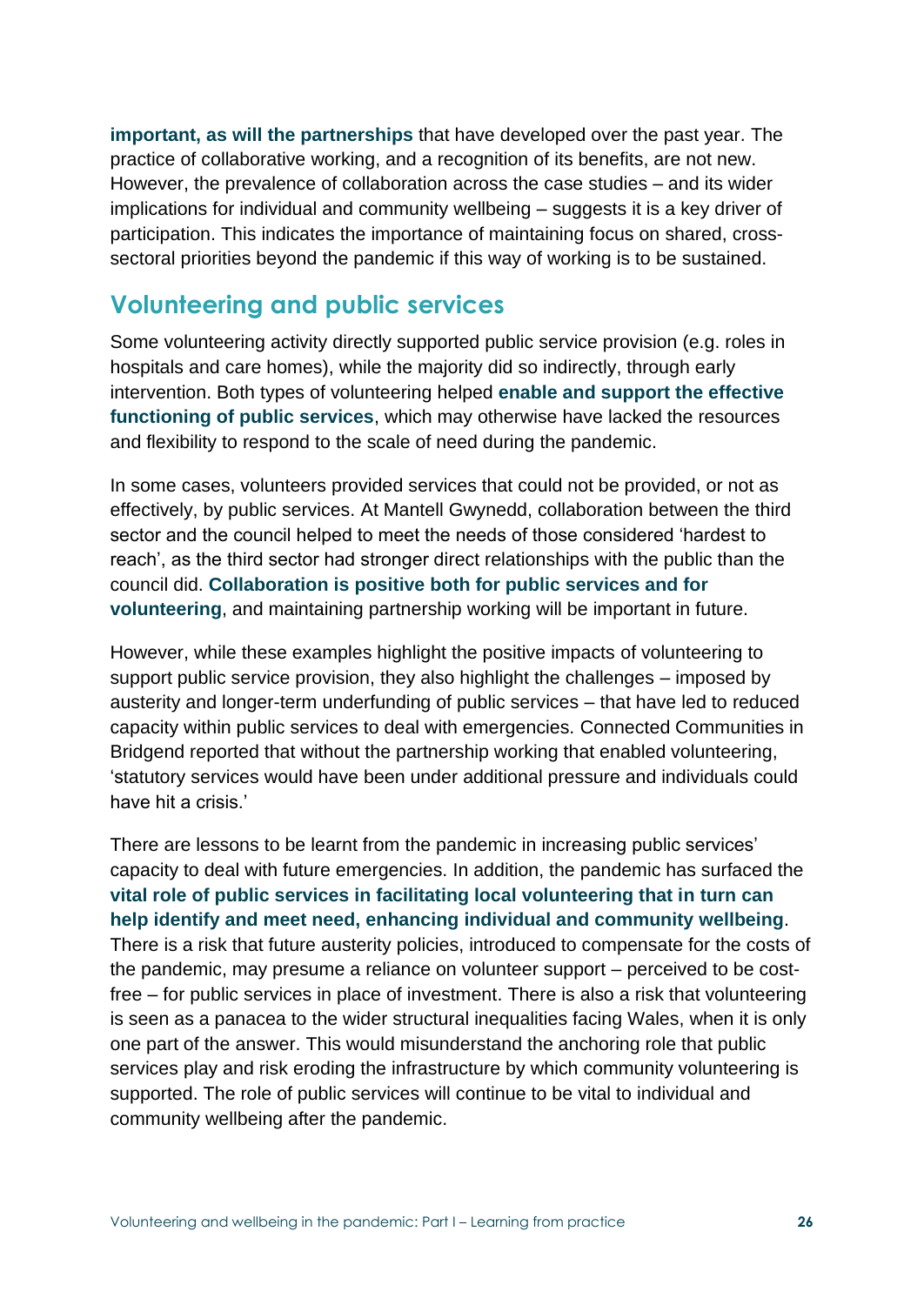**important, as will the partnerships** that have developed over the past year. The practice of collaborative working, and a recognition of its benefits, are not new. However, the prevalence of collaboration across the case studies – and its wider implications for individual and community wellbeing – suggests it is a key driver of participation. This indicates the importance of maintaining focus on shared, crosssectoral priorities beyond the pandemic if this way of working is to be sustained.

#### **Volunteering and public services**

Some volunteering activity directly supported public service provision (e.g. roles in hospitals and care homes), while the majority did so indirectly, through early intervention. Both types of volunteering helped **enable and support the effective functioning of public services**, which may otherwise have lacked the resources and flexibility to respond to the scale of need during the pandemic.

In some cases, volunteers provided services that could not be provided, or not as effectively, by public services. At Mantell Gwynedd, collaboration between the third sector and the council helped to meet the needs of those considered 'hardest to reach', as the third sector had stronger direct relationships with the public than the council did. **Collaboration is positive both for public services and for volunteering**, and maintaining partnership working will be important in future.

However, while these examples highlight the positive impacts of volunteering to support public service provision, they also highlight the challenges – imposed by austerity and longer-term underfunding of public services – that have led to reduced capacity within public services to deal with emergencies. Connected Communities in Bridgend reported that without the partnership working that enabled volunteering, 'statutory services would have been under additional pressure and individuals could have hit a crisis.'

There are lessons to be learnt from the pandemic in increasing public services' capacity to deal with future emergencies. In addition, the pandemic has surfaced the **vital role of public services in facilitating local volunteering that in turn can help identify and meet need, enhancing individual and community wellbeing**. There is a risk that future austerity policies, introduced to compensate for the costs of the pandemic, may presume a reliance on volunteer support – perceived to be costfree – for public services in place of investment. There is also a risk that volunteering is seen as a panacea to the wider structural inequalities facing Wales, when it is only one part of the answer. This would misunderstand the anchoring role that public services play and risk eroding the infrastructure by which community volunteering is supported. The role of public services will continue to be vital to individual and community wellbeing after the pandemic.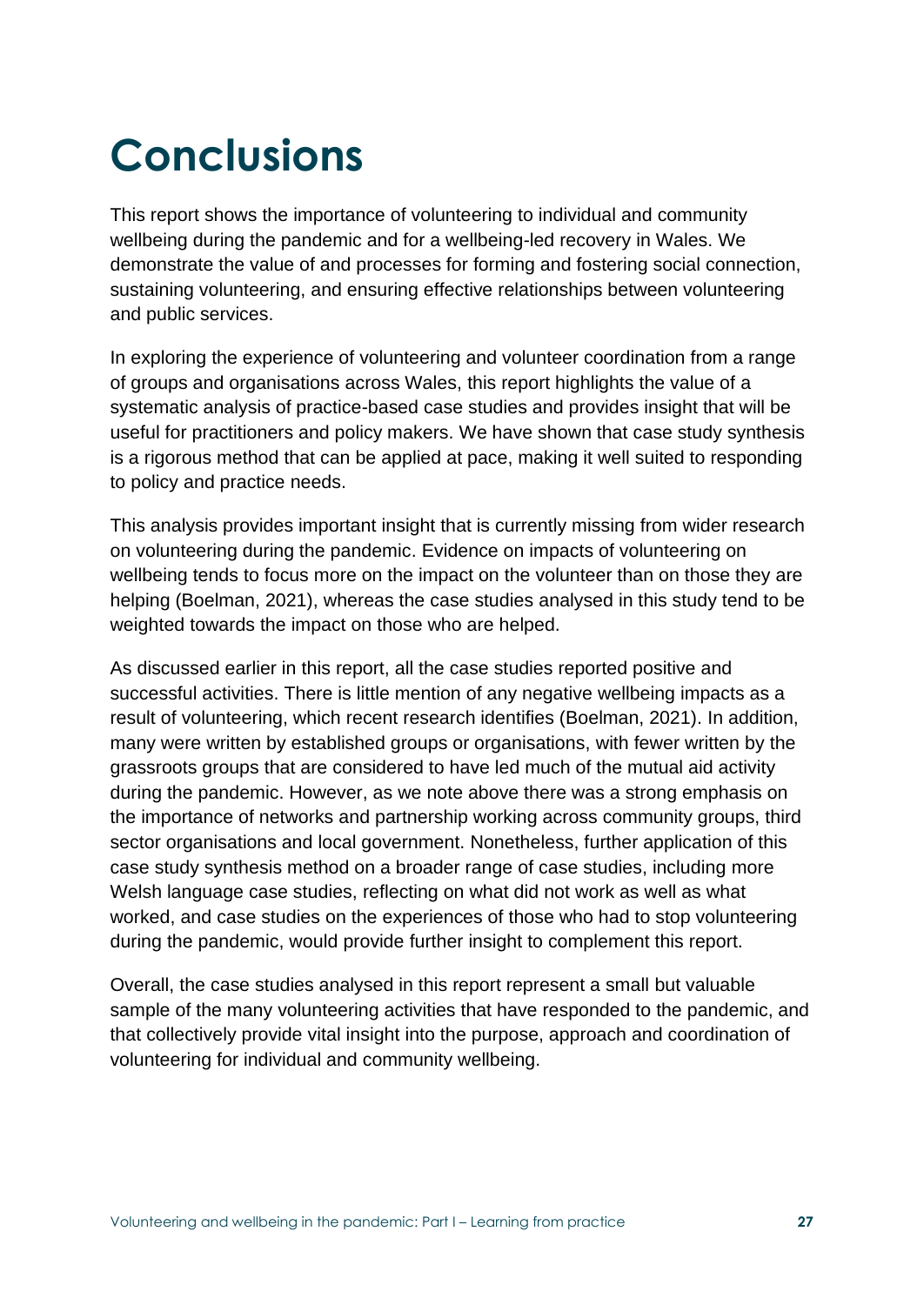# **Conclusions**

This report shows the importance of volunteering to individual and community wellbeing during the pandemic and for a wellbeing-led recovery in Wales. We demonstrate the value of and processes for forming and fostering social connection, sustaining volunteering, and ensuring effective relationships between volunteering and public services.

In exploring the experience of volunteering and volunteer coordination from a range of groups and organisations across Wales, this report highlights the value of a systematic analysis of practice-based case studies and provides insight that will be useful for practitioners and policy makers. We have shown that case study synthesis is a rigorous method that can be applied at pace, making it well suited to responding to policy and practice needs.

This analysis provides important insight that is currently missing from wider research on volunteering during the pandemic. Evidence on impacts of volunteering on wellbeing tends to focus more on the impact on the volunteer than on those they are helping (Boelman, 2021), whereas the case studies analysed in this study tend to be weighted towards the impact on those who are helped.

As discussed earlier in this report, all the case studies reported positive and successful activities. There is little mention of any negative wellbeing impacts as a result of volunteering, which recent research identifies (Boelman, 2021). In addition, many were written by established groups or organisations, with fewer written by the grassroots groups that are considered to have led much of the mutual aid activity during the pandemic. However, as we note above there was a strong emphasis on the importance of networks and partnership working across community groups, third sector organisations and local government. Nonetheless, further application of this case study synthesis method on a broader range of case studies, including more Welsh language case studies, reflecting on what did not work as well as what worked, and case studies on the experiences of those who had to stop volunteering during the pandemic, would provide further insight to complement this report.

Overall, the case studies analysed in this report represent a small but valuable sample of the many volunteering activities that have responded to the pandemic, and that collectively provide vital insight into the purpose, approach and coordination of volunteering for individual and community wellbeing.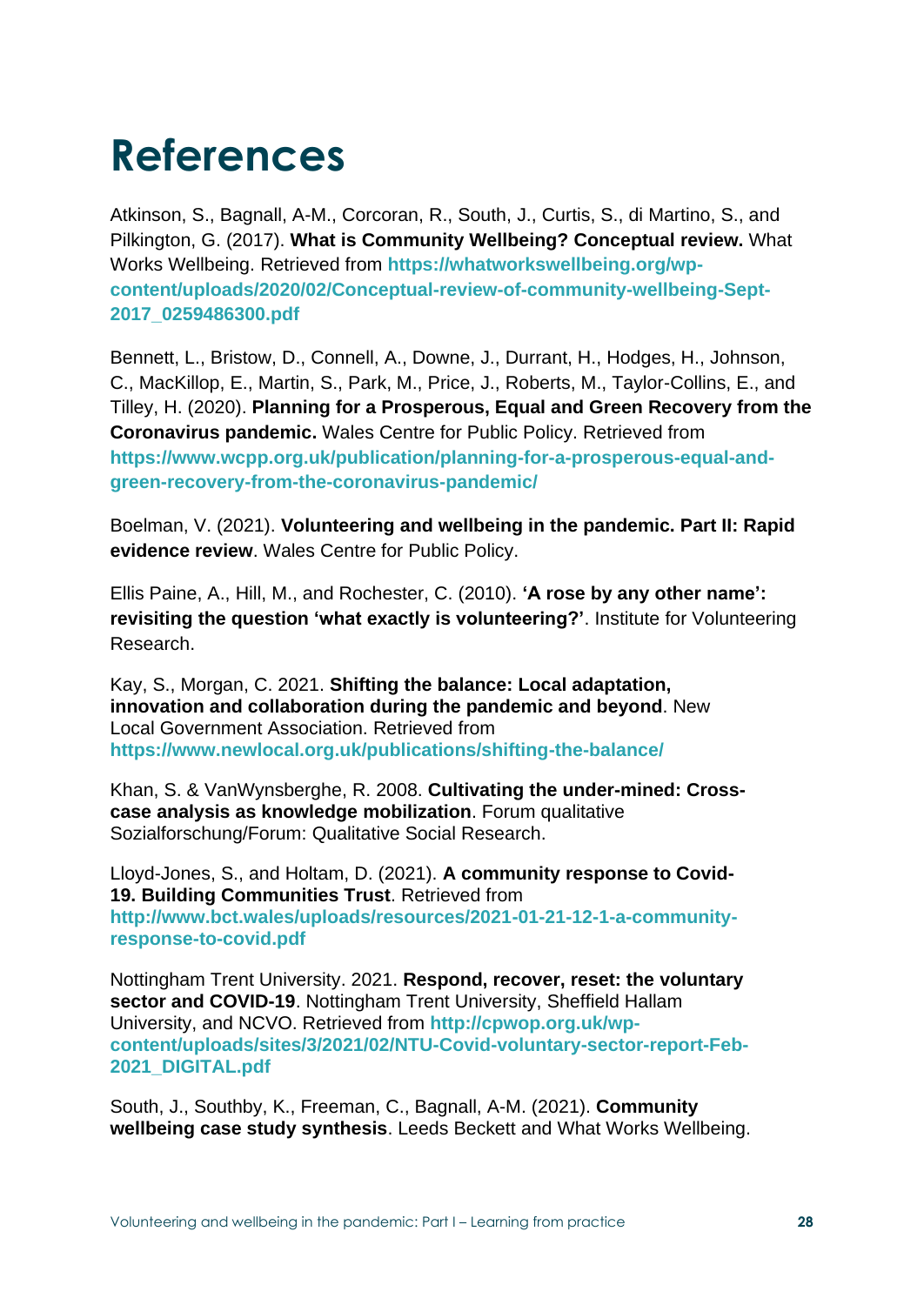# **References**

Atkinson, S., Bagnall, A-M., Corcoran, R., South, J., Curtis, S., di Martino, S., and Pilkington, G. (2017). **What is Community Wellbeing? Conceptual review.** What Works Wellbeing. Retrieved from **[https://whatworkswellbeing.org/wp](https://whatworkswellbeing.org/wp-content/uploads/2020/02/Conceptual-review-of-community-wellbeing-Sept-2017_0259486300.pdf)[content/uploads/2020/02/Conceptual-review-of-community-wellbeing-Sept-](https://whatworkswellbeing.org/wp-content/uploads/2020/02/Conceptual-review-of-community-wellbeing-Sept-2017_0259486300.pdf)[2017\\_0259486300.pdf](https://whatworkswellbeing.org/wp-content/uploads/2020/02/Conceptual-review-of-community-wellbeing-Sept-2017_0259486300.pdf)**

Bennett, L., Bristow, D., Connell, A., Downe, J., Durrant, H., Hodges, H., Johnson, C., MacKillop, E., Martin, S., Park, M., Price, J., Roberts, M., Taylor-Collins, E., and Tilley, H. (2020). **Planning for a Prosperous, Equal and Green Recovery from the Coronavirus pandemic.** Wales Centre for Public Policy. Retrieved from **[https://www.wcpp.org.uk/publication/planning-for-a-prosperous-equal-and](https://www.wcpp.org.uk/publication/planning-for-a-prosperous-equal-and-green-recovery-from-the-coronavirus-pandemic/)[green-recovery-from-the-coronavirus-pandemic/](https://www.wcpp.org.uk/publication/planning-for-a-prosperous-equal-and-green-recovery-from-the-coronavirus-pandemic/)**

Boelman, V. (2021). **Volunteering and wellbeing in the pandemic. Part II: Rapid evidence review**. Wales Centre for Public Policy.

Ellis Paine, A., Hill, M., and Rochester, C. (2010). **'A rose by any other name': revisiting the question 'what exactly is volunteering?'**. Institute for Volunteering Research.

Kay, S., Morgan, C. 2021. **Shifting the balance: Local adaptation, innovation and collaboration during the pandemic and beyond**. New Local Government Association. Retrieved from **<https://www.newlocal.org.uk/publications/shifting-the-balance/>**

Khan, S. & VanWynsberghe, R. 2008. **Cultivating the under-mined: Crosscase analysis as knowledge mobilization**. Forum qualitative Sozialforschung/Forum: Qualitative Social Research.

Lloyd-Jones, S., and Holtam, D. (2021). **A community response to Covid-19. Building Communities Trust**. Retrieved from **[http://www.bct.wales/uploads/resources/2021-01-21-12-1-a-community](http://www.bct.wales/uploads/resources/2021-01-21-12-1-a-community-response-to-covid.pdf)[response-to-covid.pdf](http://www.bct.wales/uploads/resources/2021-01-21-12-1-a-community-response-to-covid.pdf)**

Nottingham Trent University. 2021. **Respond, recover, reset: the voluntary sector and COVID-19**. Nottingham Trent University, Sheffield Hallam University, and NCVO. Retrieved from **[http://cpwop.org.uk/wp](http://cpwop.org.uk/wp-content/uploads/sites/3/2021/02/NTU-Covid-voluntary-sector-report-Feb-2021_DIGITAL.pdf)[content/uploads/sites/3/2021/02/NTU-Covid-voluntary-sector-report-Feb-](http://cpwop.org.uk/wp-content/uploads/sites/3/2021/02/NTU-Covid-voluntary-sector-report-Feb-2021_DIGITAL.pdf)[2021\\_DIGITAL.pdf](http://cpwop.org.uk/wp-content/uploads/sites/3/2021/02/NTU-Covid-voluntary-sector-report-Feb-2021_DIGITAL.pdf)**

South, J., Southby, K., Freeman, C., Bagnall, A-M. (2021). **Community wellbeing case study synthesis**. Leeds Beckett and What Works Wellbeing.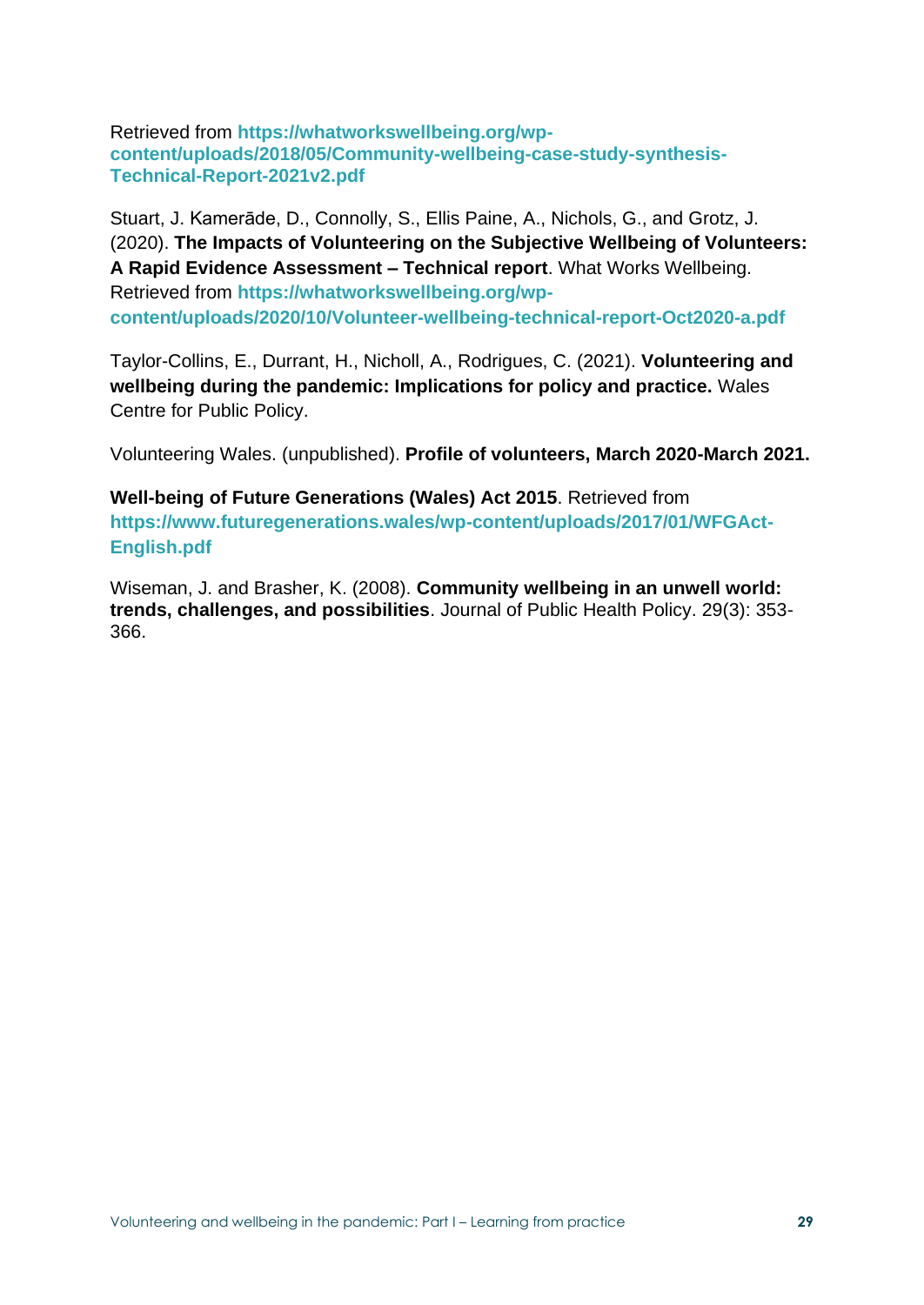Retrieved from **[https://whatworkswellbeing.org/wp](https://whatworkswellbeing.org/wp-content/uploads/2018/05/Community-wellbeing-case-study-synthesis-Technical-Report-2021v2.pdf)[content/uploads/2018/05/Community-wellbeing-case-study-synthesis-](https://whatworkswellbeing.org/wp-content/uploads/2018/05/Community-wellbeing-case-study-synthesis-Technical-Report-2021v2.pdf)[Technical-Report-2021v2.pdf](https://whatworkswellbeing.org/wp-content/uploads/2018/05/Community-wellbeing-case-study-synthesis-Technical-Report-2021v2.pdf)**

Stuart, J. Kamerāde, D., Connolly, S., Ellis Paine, A., Nichols, G., and Grotz, J. (2020). **The Impacts of Volunteering on the Subjective Wellbeing of Volunteers: A Rapid Evidence Assessment – Technical report**. What Works Wellbeing. Retrieved from **[https://whatworkswellbeing.org/wp](https://whatworkswellbeing.org/wp-content/uploads/2020/10/Volunteer-wellbeing-technical-report-Oct2020-a.pdf)[content/uploads/2020/10/Volunteer-wellbeing-technical-report-Oct2020-a.pdf](https://whatworkswellbeing.org/wp-content/uploads/2020/10/Volunteer-wellbeing-technical-report-Oct2020-a.pdf)**

Taylor-Collins, E., Durrant, H., Nicholl, A., Rodrigues, C. (2021). **Volunteering and wellbeing during the pandemic: Implications for policy and practice.** Wales Centre for Public Policy.

Volunteering Wales. (unpublished). **Profile of volunteers, March 2020-March 2021.**

**Well-being of Future Generations (Wales) Act 2015**. Retrieved from **[https://www.futuregenerations.wales/wp-content/uploads/2017/01/WFGAct-](https://www.futuregenerations.wales/wp-content/uploads/2017/01/WFGAct-English.pdf)[English.pdf](https://www.futuregenerations.wales/wp-content/uploads/2017/01/WFGAct-English.pdf)**

Wiseman, J. and Brasher, K. (2008). **Community wellbeing in an unwell world: trends, challenges, and possibilities**. Journal of Public Health Policy. 29(3): 353- 366.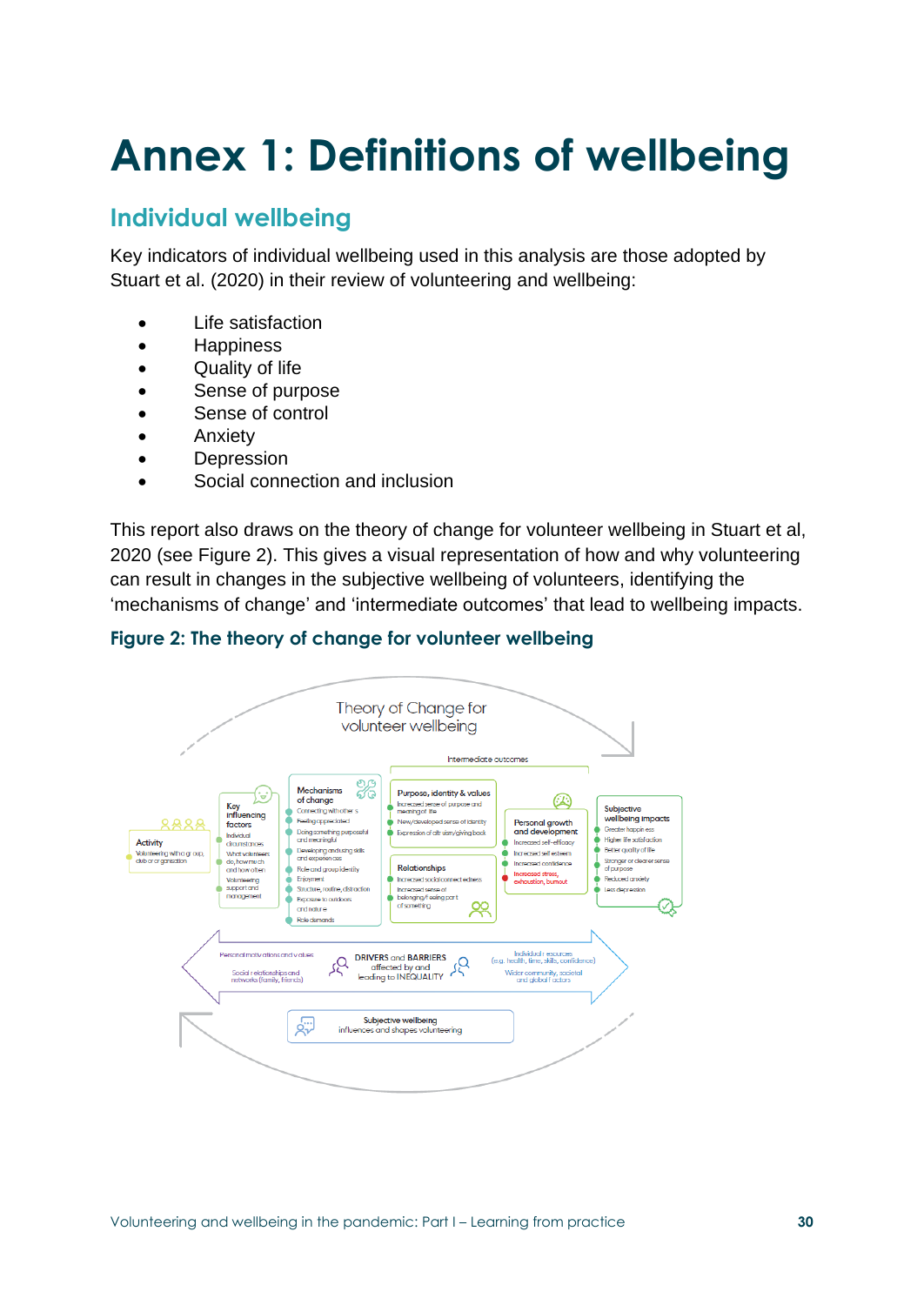# **Annex 1: Definitions of wellbeing**

### **Individual wellbeing**

Key indicators of individual wellbeing used in this analysis are those adopted by Stuart et al. (2020) in their review of volunteering and wellbeing:

- Life satisfaction
- Happiness
- Quality of life
- Sense of purpose
- Sense of control
- **Anxiety**
- Depression
- Social connection and inclusion

This report also draws on the theory of change for volunteer wellbeing in Stuart et al, 2020 (see Figure 2). This gives a visual representation of how and why volunteering can result in changes in the subjective wellbeing of volunteers, identifying the 'mechanisms of change' and 'intermediate outcomes' that lead to wellbeing impacts.



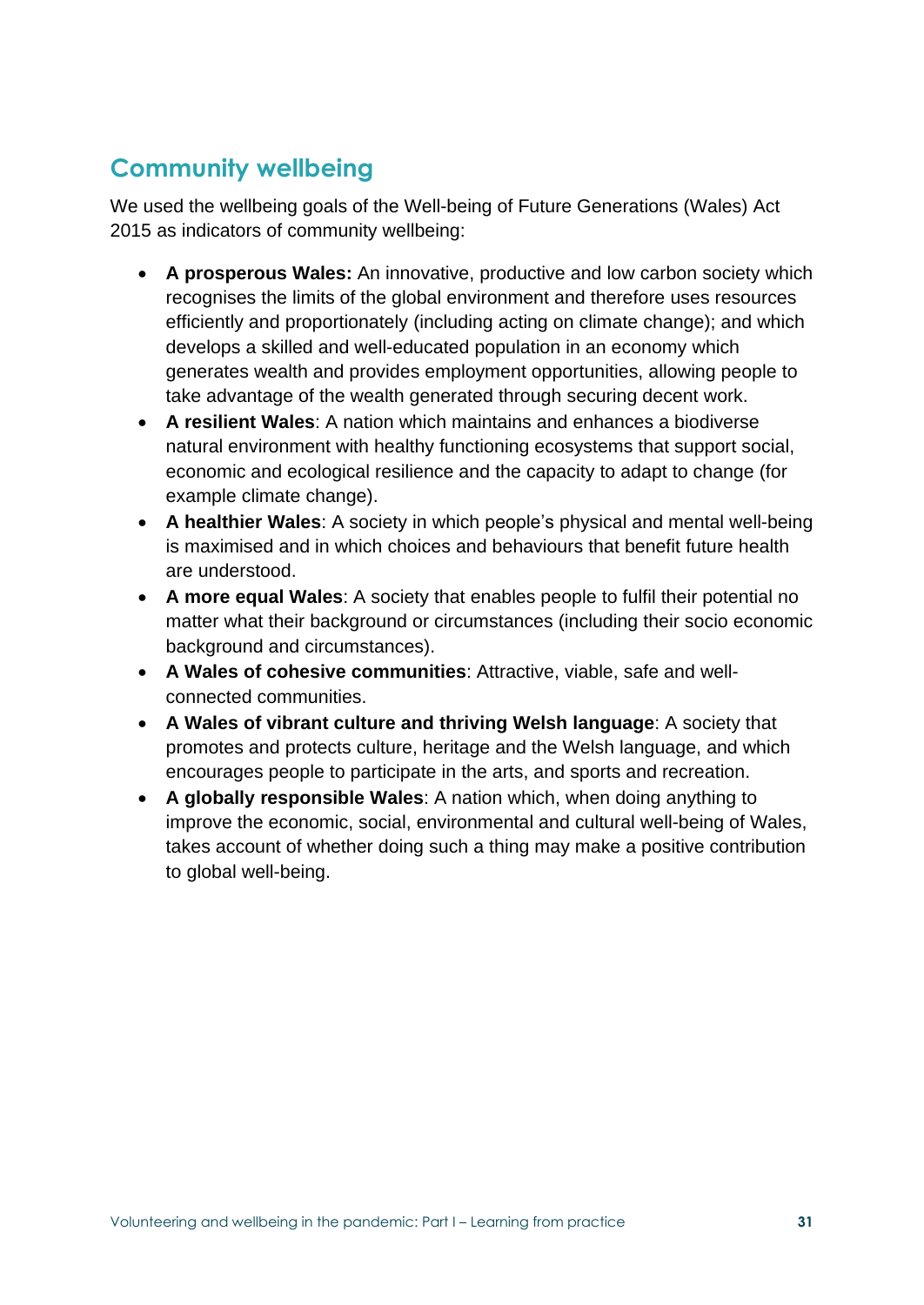### **Community wellbeing**

We used the wellbeing goals of the Well-being of Future Generations (Wales) Act 2015 as indicators of community wellbeing:

- **A prosperous Wales:** An innovative, productive and low carbon society which recognises the limits of the global environment and therefore uses resources efficiently and proportionately (including acting on climate change); and which develops a skilled and well-educated population in an economy which generates wealth and provides employment opportunities, allowing people to take advantage of the wealth generated through securing decent work.
- **A resilient Wales**: A nation which maintains and enhances a biodiverse natural environment with healthy functioning ecosystems that support social, economic and ecological resilience and the capacity to adapt to change (for example climate change).
- **A healthier Wales**: A society in which people's physical and mental well-being is maximised and in which choices and behaviours that benefit future health are understood.
- **A more equal Wales**: A society that enables people to fulfil their potential no matter what their background or circumstances (including their socio economic background and circumstances).
- **A Wales of cohesive communities**: Attractive, viable, safe and wellconnected communities.
- **A Wales of vibrant culture and thriving Welsh language**: A society that promotes and protects culture, heritage and the Welsh language, and which encourages people to participate in the arts, and sports and recreation.
- **A globally responsible Wales**: A nation which, when doing anything to improve the economic, social, environmental and cultural well-being of Wales, takes account of whether doing such a thing may make a positive contribution to global well-being.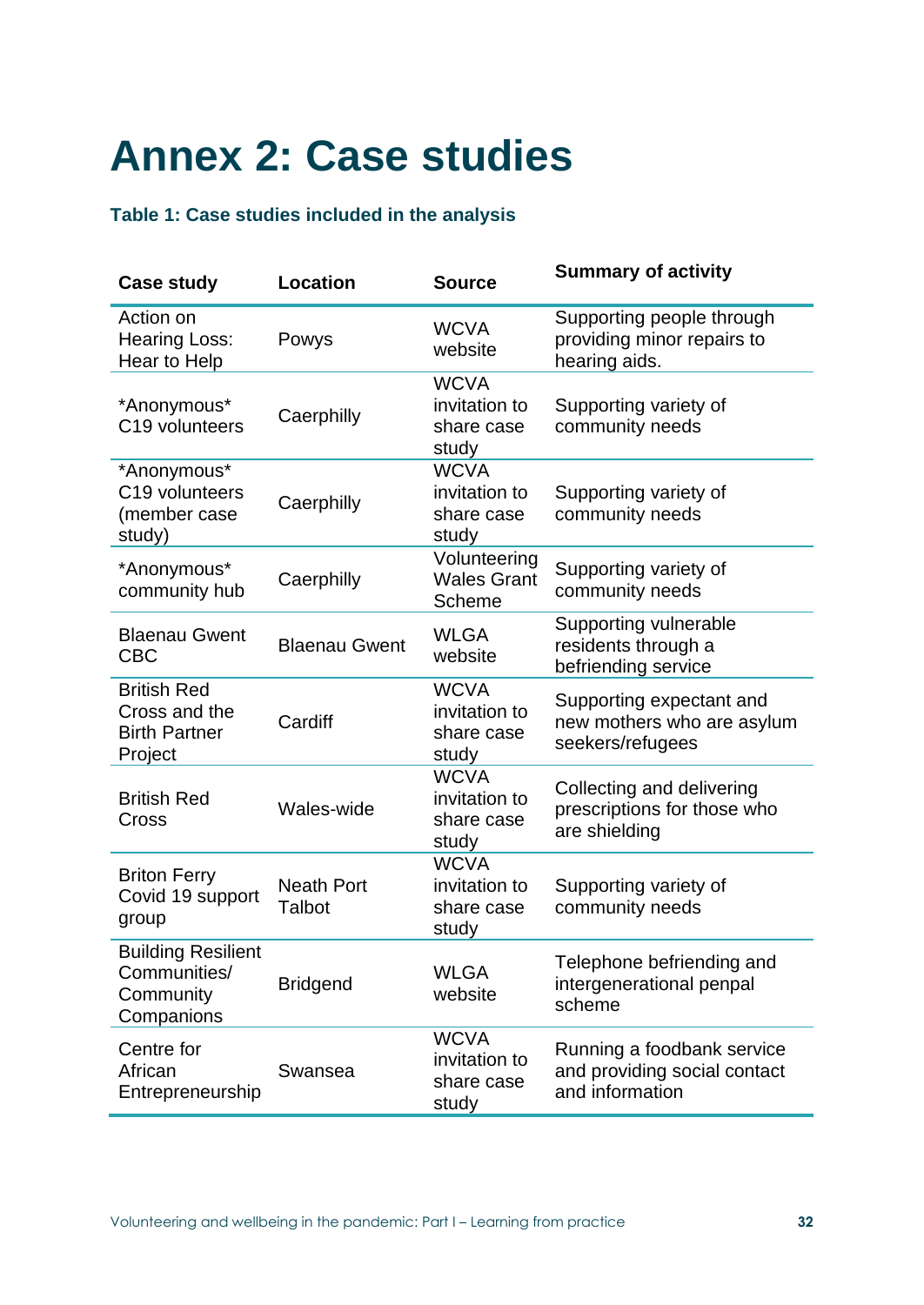# **Annex 2: Case studies**

#### **Table 1: Case studies included in the analysis**

| <b>Case study</b>                                                      | <b>Location</b>             | <b>Source</b>                                       | <b>Summary of activity</b>                                                    |
|------------------------------------------------------------------------|-----------------------------|-----------------------------------------------------|-------------------------------------------------------------------------------|
| Action on<br><b>Hearing Loss:</b><br>Hear to Help                      | Powys                       | <b>WCVA</b><br>website                              | Supporting people through<br>providing minor repairs to<br>hearing aids.      |
| *Anonymous*<br>C19 volunteers                                          | Caerphilly                  | <b>WCVA</b><br>invitation to<br>share case<br>study | Supporting variety of<br>community needs                                      |
| *Anonymous*<br>C19 volunteers<br>(member case<br>study)                | Caerphilly                  | <b>WCVA</b><br>invitation to<br>share case<br>study | Supporting variety of<br>community needs                                      |
| *Anonymous*<br>community hub                                           | Caerphilly                  | Volunteering<br><b>Wales Grant</b><br>Scheme        | Supporting variety of<br>community needs                                      |
| <b>Blaenau Gwent</b><br><b>CBC</b>                                     | <b>Blaenau Gwent</b>        | <b>WLGA</b><br>website                              | Supporting vulnerable<br>residents through a<br>befriending service           |
| <b>British Red</b><br>Cross and the<br><b>Birth Partner</b><br>Project | Cardiff                     | <b>WCVA</b><br>invitation to<br>share case<br>study | Supporting expectant and<br>new mothers who are asylum<br>seekers/refugees    |
| <b>British Red</b><br>Cross                                            | <b>Wales-wide</b>           | <b>WCVA</b><br>invitation to<br>share case<br>study | Collecting and delivering<br>prescriptions for those who<br>are shielding     |
| <b>Briton Ferry</b><br>Covid 19 support<br>group                       | <b>Neath Port</b><br>Talbot | <b>WCVA</b><br>invitation to<br>share case<br>study | Supporting variety of<br>community needs                                      |
| <b>Building Resilient</b><br>Communities/<br>Community<br>Companions   | <b>Bridgend</b>             | <b>WLGA</b><br>website                              | Telephone befriending and<br>intergenerational penpal<br>scheme               |
| Centre for<br>African<br>Entrepreneurship                              | Swansea                     | <b>WCVA</b><br>invitation to<br>share case<br>study | Running a foodbank service<br>and providing social contact<br>and information |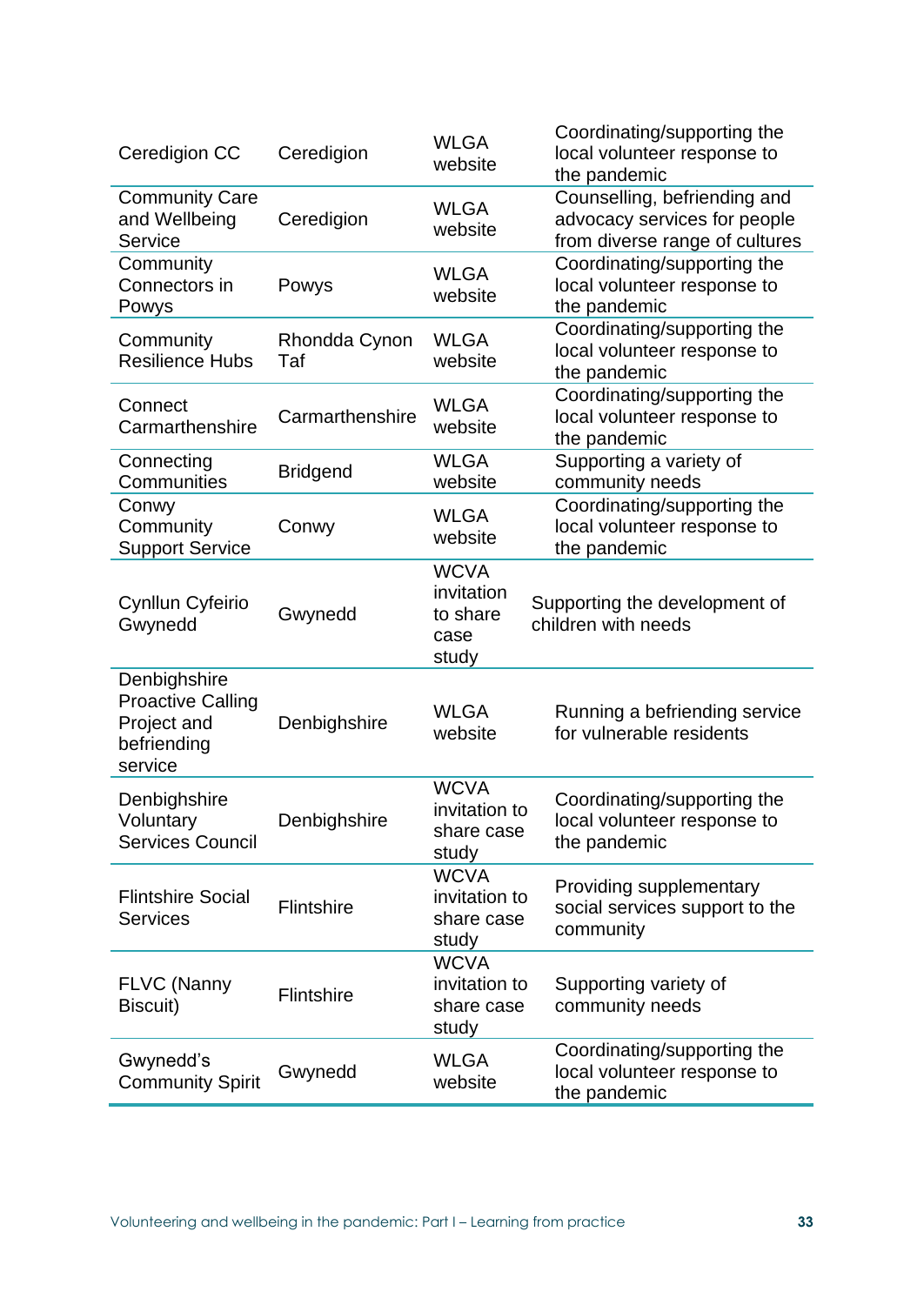| Ceredigion CC                                                                     | Ceredigion           | <b>WLGA</b><br>website                                 | Coordinating/supporting the<br>local volunteer response to<br>the pandemic                     |
|-----------------------------------------------------------------------------------|----------------------|--------------------------------------------------------|------------------------------------------------------------------------------------------------|
| <b>Community Care</b><br>and Wellbeing<br>Service                                 | Ceredigion           | <b>WLGA</b><br>website                                 | Counselling, befriending and<br>advocacy services for people<br>from diverse range of cultures |
| Community<br>Connectors in<br>Powys                                               | Powys                | <b>WLGA</b><br>website                                 | Coordinating/supporting the<br>local volunteer response to<br>the pandemic                     |
| Community<br><b>Resilience Hubs</b>                                               | Rhondda Cynon<br>Taf | <b>WLGA</b><br>website                                 | Coordinating/supporting the<br>local volunteer response to<br>the pandemic                     |
| Connect<br>Carmarthenshire                                                        | Carmarthenshire      | <b>WLGA</b><br>website                                 | Coordinating/supporting the<br>local volunteer response to<br>the pandemic                     |
| Connecting<br>Communities                                                         | <b>Bridgend</b>      | <b>WLGA</b><br>website                                 | Supporting a variety of<br>community needs                                                     |
| Conwy<br>Community<br><b>Support Service</b>                                      | Conwy                | <b>WLGA</b><br>website                                 | Coordinating/supporting the<br>local volunteer response to<br>the pandemic                     |
| Cynllun Cyfeirio<br>Gwynedd                                                       | Gwynedd              | <b>WCVA</b><br>invitation<br>to share<br>case<br>study | Supporting the development of<br>children with needs                                           |
| Denbighshire<br><b>Proactive Calling</b><br>Project and<br>befriending<br>service | Denbighshire         | <b>WLGA</b><br>website                                 | Running a befriending service<br>for vulnerable residents                                      |
| Denbighshire<br>Voluntary<br><b>Services Council</b>                              | Denbighshire         | <b>WCVA</b><br>invitation to<br>share case<br>study    | Coordinating/supporting the<br>local volunteer response to<br>the pandemic                     |
| <b>Flintshire Social</b><br><b>Services</b>                                       | Flintshire           | <b>WCVA</b><br>invitation to<br>share case<br>study    | Providing supplementary<br>social services support to the<br>community                         |
| <b>FLVC (Nanny</b><br>Biscuit)                                                    | Flintshire           | <b>WCVA</b><br>invitation to<br>share case<br>study    | Supporting variety of<br>community needs                                                       |
| Gwynedd's<br><b>Community Spirit</b>                                              | Gwynedd              | <b>WLGA</b><br>website                                 | Coordinating/supporting the<br>local volunteer response to<br>the pandemic                     |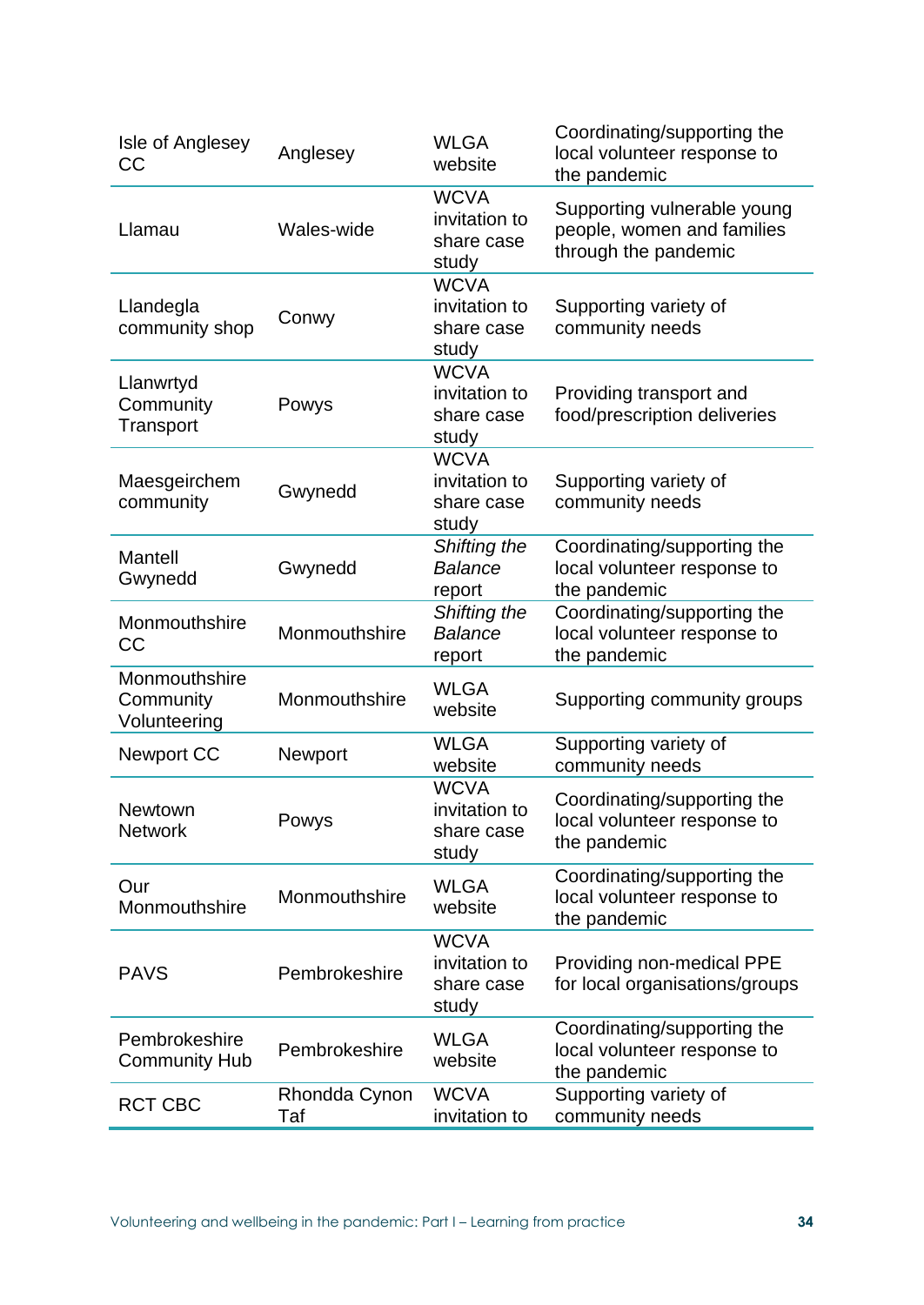| Isle of Anglesey<br>CC                     | Anglesey             | <b>WLGA</b><br>website                              | Coordinating/supporting the<br>local volunteer response to<br>the pandemic        |
|--------------------------------------------|----------------------|-----------------------------------------------------|-----------------------------------------------------------------------------------|
| Llamau                                     | Wales-wide           | <b>WCVA</b><br>invitation to<br>share case<br>study | Supporting vulnerable young<br>people, women and families<br>through the pandemic |
| Llandegla<br>community shop                | Conwy                | <b>WCVA</b><br>invitation to<br>share case<br>study | Supporting variety of<br>community needs                                          |
| Llanwrtyd<br>Community<br>Transport        | Powys                | <b>WCVA</b><br>invitation to<br>share case<br>study | Providing transport and<br>food/prescription deliveries                           |
| Maesgeirchem<br>community                  | Gwynedd              | <b>WCVA</b><br>invitation to<br>share case<br>study | Supporting variety of<br>community needs                                          |
| Mantell<br>Gwynedd                         | Gwynedd              | Shifting the<br><b>Balance</b><br>report            | Coordinating/supporting the<br>local volunteer response to<br>the pandemic        |
| Monmouthshire<br><b>CC</b>                 | Monmouthshire        | Shifting the<br><b>Balance</b><br>report            | Coordinating/supporting the<br>local volunteer response to<br>the pandemic        |
| Monmouthshire<br>Community<br>Volunteering | Monmouthshire        | <b>WLGA</b><br>website                              | Supporting community groups                                                       |
| <b>Newport CC</b>                          | Newport              | <b>WLGA</b><br>website                              | Supporting variety of<br>community needs                                          |
| Newtown<br><b>Network</b>                  | Powys                | <b>WCVA</b><br>invitation to<br>share case<br>study | Coordinating/supporting the<br>local volunteer response to<br>the pandemic        |
| Our<br>Monmouthshire                       | Monmouthshire        | <b>WLGA</b><br>website                              | Coordinating/supporting the<br>local volunteer response to<br>the pandemic        |
| <b>PAVS</b>                                | Pembrokeshire        | <b>WCVA</b><br>invitation to<br>share case<br>study | Providing non-medical PPE<br>for local organisations/groups                       |
| Pembrokeshire<br><b>Community Hub</b>      | Pembrokeshire        | <b>WLGA</b><br>website                              | Coordinating/supporting the<br>local volunteer response to<br>the pandemic        |
| <b>RCT CBC</b>                             | Rhondda Cynon<br>Taf | <b>WCVA</b><br>invitation to                        | Supporting variety of<br>community needs                                          |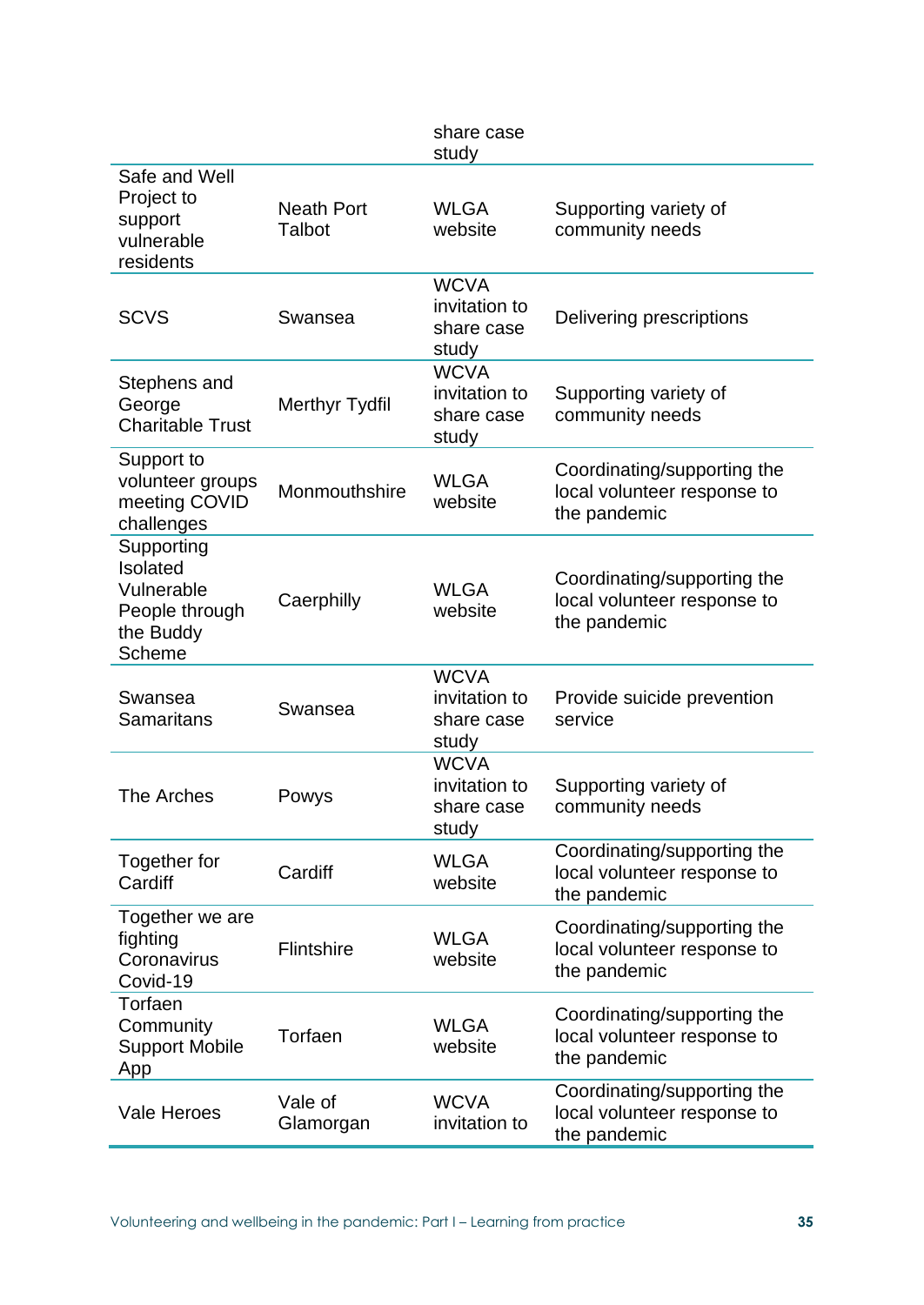|                                                                                      |                             | share case<br>study                                 |                                                                            |
|--------------------------------------------------------------------------------------|-----------------------------|-----------------------------------------------------|----------------------------------------------------------------------------|
| Safe and Well<br>Project to<br>support<br>vulnerable<br>residents                    | <b>Neath Port</b><br>Talbot | <b>WLGA</b><br>website                              | Supporting variety of<br>community needs                                   |
| <b>SCVS</b>                                                                          | Swansea                     | <b>WCVA</b><br>invitation to<br>share case<br>study | Delivering prescriptions                                                   |
| Stephens and<br>George<br><b>Charitable Trust</b>                                    | <b>Merthyr Tydfil</b>       | <b>WCVA</b><br>invitation to<br>share case<br>study | Supporting variety of<br>community needs                                   |
| Support to<br>volunteer groups<br>meeting COVID<br>challenges                        | Monmouthshire               | <b>WLGA</b><br>website                              | Coordinating/supporting the<br>local volunteer response to<br>the pandemic |
| Supporting<br>Isolated<br>Vulnerable<br>People through<br>the Buddy<br><b>Scheme</b> | Caerphilly                  | <b>WLGA</b><br>website                              | Coordinating/supporting the<br>local volunteer response to<br>the pandemic |
| Swansea<br><b>Samaritans</b>                                                         | Swansea                     | <b>WCVA</b><br>invitation to<br>share case<br>study | Provide suicide prevention<br>service                                      |
| The Arches                                                                           | Powys                       | <b>WCVA</b><br>invitation to<br>share case<br>study | Supporting variety of<br>community needs                                   |
| Together for<br>Cardiff                                                              | Cardiff                     | <b>WLGA</b><br>website                              | Coordinating/supporting the<br>local volunteer response to<br>the pandemic |
| Together we are<br>fighting<br>Coronavirus<br>Covid-19                               | Flintshire                  | <b>WLGA</b><br>website                              | Coordinating/supporting the<br>local volunteer response to<br>the pandemic |
| Torfaen<br>Community<br><b>Support Mobile</b><br>App                                 | Torfaen                     | <b>WLGA</b><br>website                              | Coordinating/supporting the<br>local volunteer response to<br>the pandemic |
| <b>Vale Heroes</b>                                                                   | Vale of<br>Glamorgan        | <b>WCVA</b><br>invitation to                        | Coordinating/supporting the<br>local volunteer response to<br>the pandemic |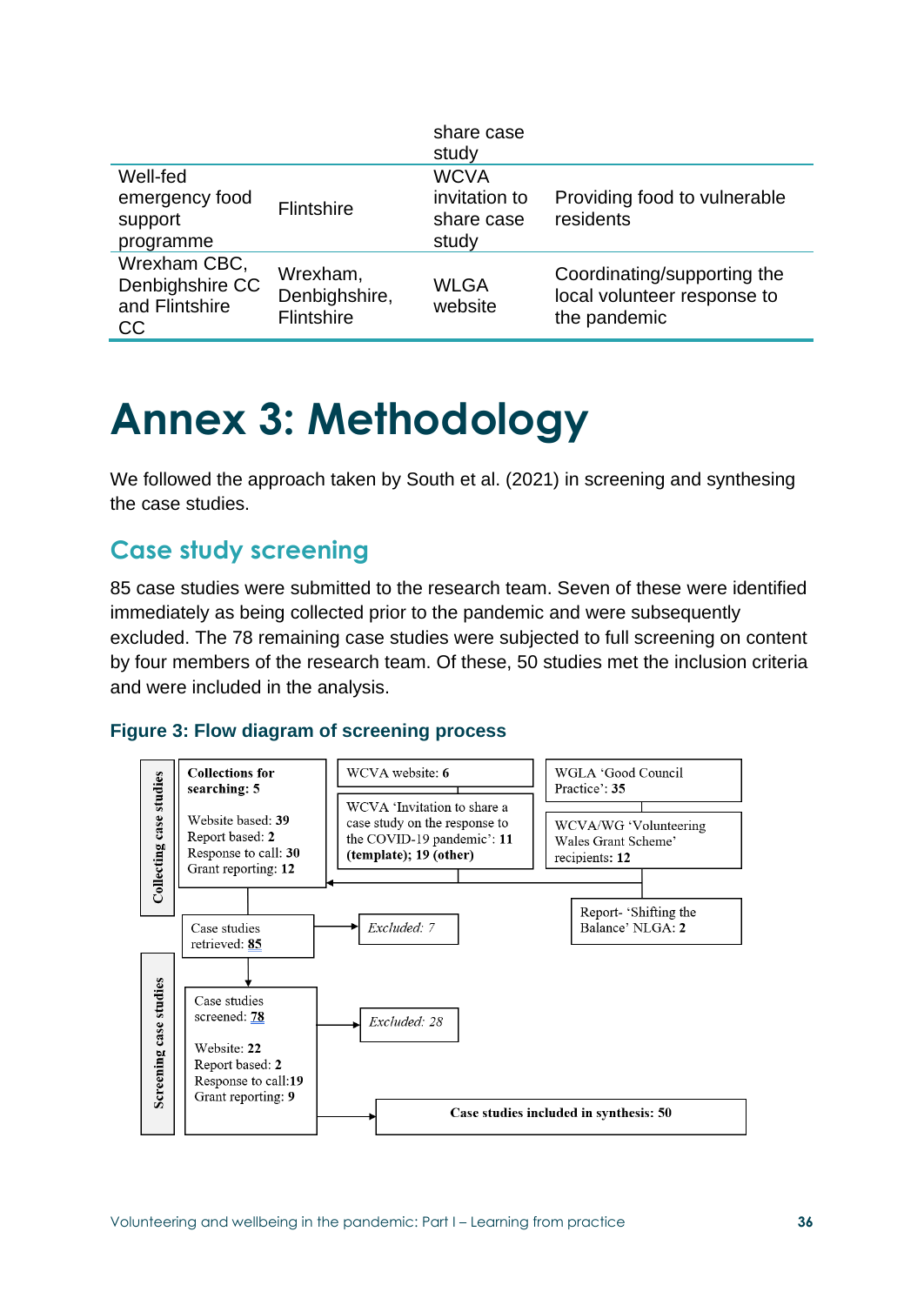|                                                         |                                         | share case<br>study                                 |                                                                            |
|---------------------------------------------------------|-----------------------------------------|-----------------------------------------------------|----------------------------------------------------------------------------|
| Well-fed<br>emergency food<br>support<br>programme      | <b>Flintshire</b>                       | <b>WCVA</b><br>invitation to<br>share case<br>study | Providing food to vulnerable<br>residents                                  |
| Wrexham CBC,<br>Denbighshire CC<br>and Flintshire<br>CC | Wrexham,<br>Denbighshire,<br>Flintshire | <b>WLGA</b><br>website                              | Coordinating/supporting the<br>local volunteer response to<br>the pandemic |

## **Annex 3: Methodology**

We followed the approach taken by South et al. (2021) in screening and synthesing the case studies.

### **Case study screening**

85 case studies were submitted to the research team. Seven of these were identified immediately as being collected prior to the pandemic and were subsequently excluded. The 78 remaining case studies were subjected to full screening on content by four members of the research team. Of these, 50 studies met the inclusion criteria and were included in the analysis.



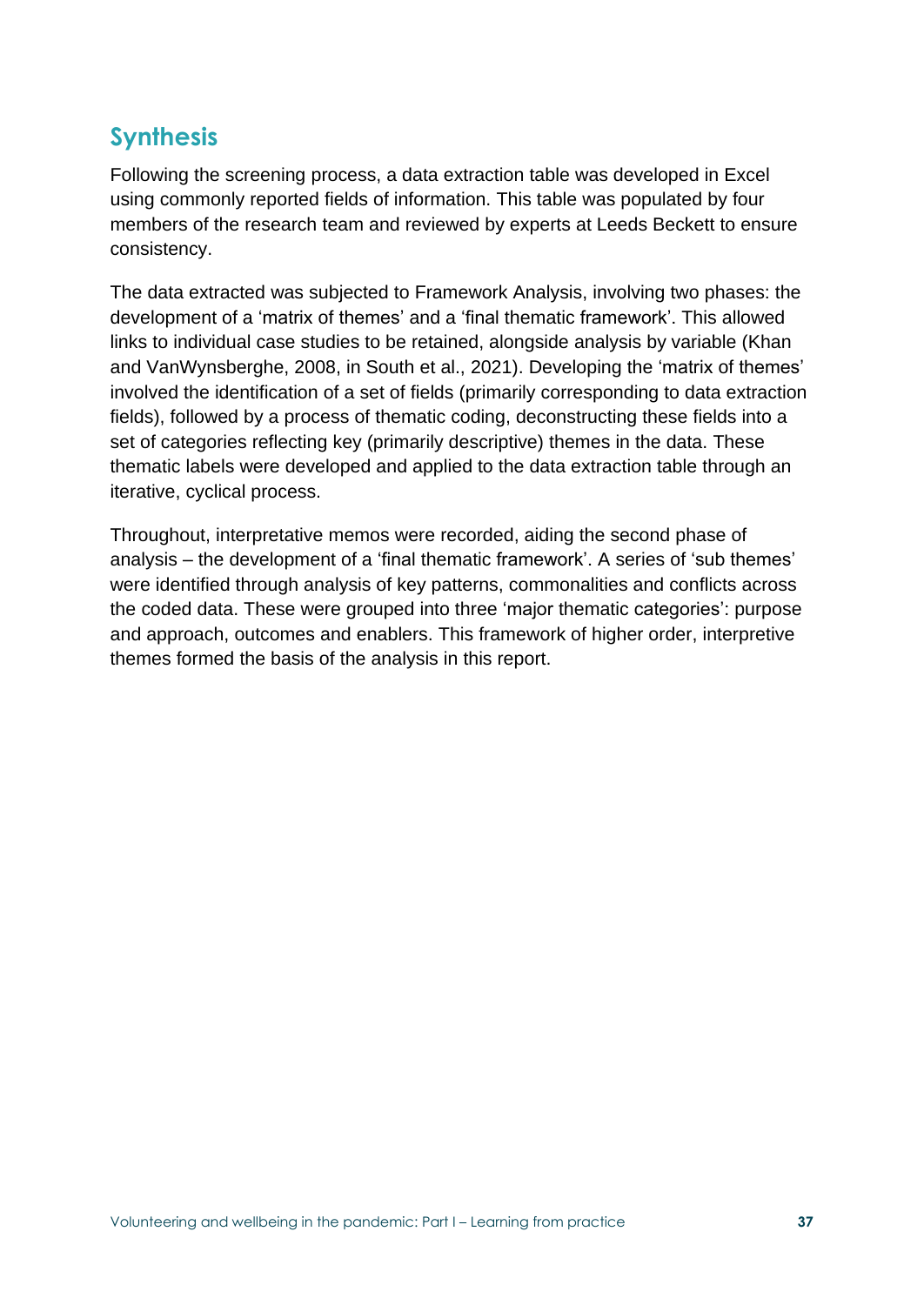### **Synthesis**

Following the screening process, a data extraction table was developed in Excel using commonly reported fields of information. This table was populated by four members of the research team and reviewed by experts at Leeds Beckett to ensure consistency.

The data extracted was subjected to Framework Analysis, involving two phases: the development of a 'matrix of themes' and a 'final thematic framework'. This allowed links to individual case studies to be retained, alongside analysis by variable (Khan and VanWynsberghe, 2008, in South et al., 2021). Developing the 'matrix of themes' involved the identification of a set of fields (primarily corresponding to data extraction fields), followed by a process of thematic coding, deconstructing these fields into a set of categories reflecting key (primarily descriptive) themes in the data. These thematic labels were developed and applied to the data extraction table through an iterative, cyclical process.

Throughout, interpretative memos were recorded, aiding the second phase of analysis – the development of a 'final thematic framework'. A series of 'sub themes' were identified through analysis of key patterns, commonalities and conflicts across the coded data. These were grouped into three 'major thematic categories': purpose and approach, outcomes and enablers. This framework of higher order, interpretive themes formed the basis of the analysis in this report.